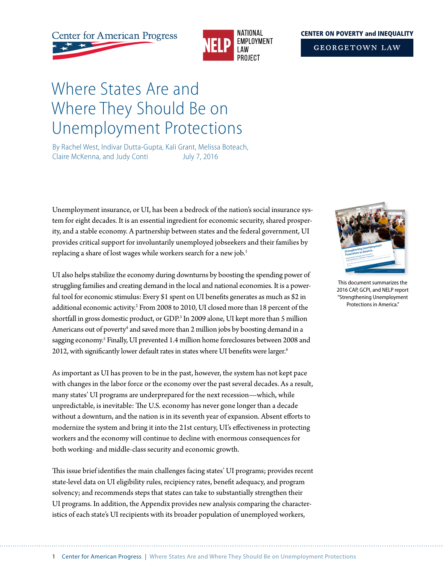**Center for American Progress** 



#### **CENTER ON POVERTY and INEOUALITY**

**GEORGETOWN LAW** 

# Where States Are and Where They Should Be on Unemployment Protections

By Rachel West, Indivar Dutta-Gupta, Kali Grant, Melissa Boteach, Claire McKenna, and Judy Conti July 7, 2016

Unemployment insurance, or UI, has been a bedrock of the nation's social insurance system for eight decades. It is an essential ingredient for economic security, shared prosperity, and a stable economy. A partnership between states and the federal government, UI provides critical support for involuntarily unemployed jobseekers and their families by replacing a share of lost wages while workers search for a new job.<sup>1</sup>

UI also helps stabilize the economy during downturns by boosting the spending power of struggling families and creating demand in the local and national economies. It is a powerful tool for economic stimulus: Every \$1 spent on UI benefits generates as much as \$2 in additional economic activity.<sup>2</sup> From 2008 to 2010, UI closed more than 18 percent of the shortfall in gross domestic product, or GDP.<sup>3</sup> In 2009 alone, UI kept more than 5 million Americans out of poverty<sup>4</sup> and saved more than 2 million jobs by boosting demand in a sagging economy.<sup>5</sup> Finally, UI prevented 1.4 million home foreclosures between 2008 and 2012, with significantly lower default rates in states where UI benefits were larger.<sup>6</sup>

As important as UI has proven to be in the past, however, the system has not kept pace with changes in the labor force or the economy over the past several decades. As a result, many states' UI programs are underprepared for the next recession—which, while unpredictable, is inevitable: The U.S. economy has never gone longer than a decade without a downturn, and the nation is in its seventh year of expansion. Absent efforts to modernize the system and bring it into the 21st century, UI's effectiveness in protecting workers and the economy will continue to decline with enormous consequences for both working- and middle-class security and economic growth.

This issue brief identifies the main challenges facing states' UI programs; provides recent state-level data on UI eligibility rules, recipiency rates, benefit adequacy, and program solvency; and recommends steps that states can take to substantially strengthen their UI programs. In addition, the Appendix provides new analysis comparing the characteristics of each state's UI recipients with its broader population of unemployed workers,



This document summarizes the 2016 CAP, GCPI, and NELP report "Strengthening Unemployment Protections in America."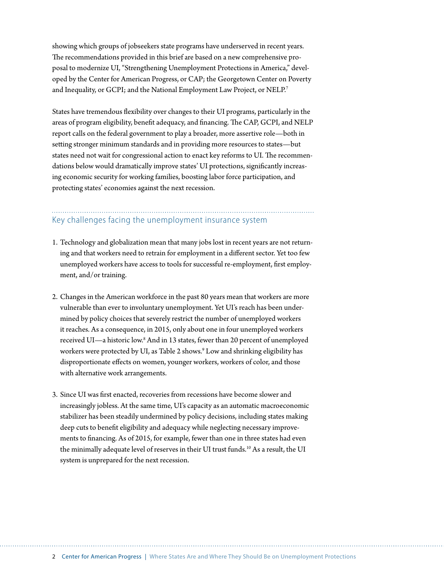showing which groups of jobseekers state programs have underserved in recent years. The recommendations provided in this brief are based on a new comprehensive proposal to modernize UI, "Strengthening Unemployment Protections in America," developed by the Center for American Progress, or CAP; the Georgetown Center on Poverty and Inequality, or GCPI; and the National Employment Law Project, or NELP.<sup>7</sup>

States have tremendous flexibility over changes to their UI programs, particularly in the areas of program eligibility, benefit adequacy, and financing. The CAP, GCPI, and NELP report calls on the federal government to play a broader, more assertive role—both in setting stronger minimum standards and in providing more resources to states—but states need not wait for congressional action to enact key reforms to UI. The recommendations below would dramatically improve states' UI protections, significantly increasing economic security for working families, boosting labor force participation, and protecting states' economies against the next recession.

# Key challenges facing the unemployment insurance system

- 1. Technology and globalization mean that many jobs lost in recent years are not returning and that workers need to retrain for employment in a different sector. Yet too few unemployed workers have access to tools for successful re-employment, first employment, and/or training.
- 2. Changes in the American workforce in the past 80 years mean that workers are more vulnerable than ever to involuntary unemployment. Yet UI's reach has been undermined by policy choices that severely restrict the number of unemployed workers it reaches. As a consequence, in 2015, only about one in four unemployed workers received UI—a historic low.<sup>8</sup> And in 13 states, fewer than 20 percent of unemployed workers were protected by UI, as Table 2 shows.<sup>9</sup> Low and shrinking eligibility has disproportionate effects on women, younger workers, workers of color, and those with alternative work arrangements.
- 3. Since UI was first enacted, recoveries from recessions have become slower and increasingly jobless. At the same time, UI's capacity as an automatic macroeconomic stabilizer has been steadily undermined by policy decisions, including states making deep cuts to benefit eligibility and adequacy while neglecting necessary improvements to financing. As of 2015, for example, fewer than one in three states had even the minimally adequate level of reserves in their UI trust funds.<sup>10</sup> As a result, the UI system is unprepared for the next recession.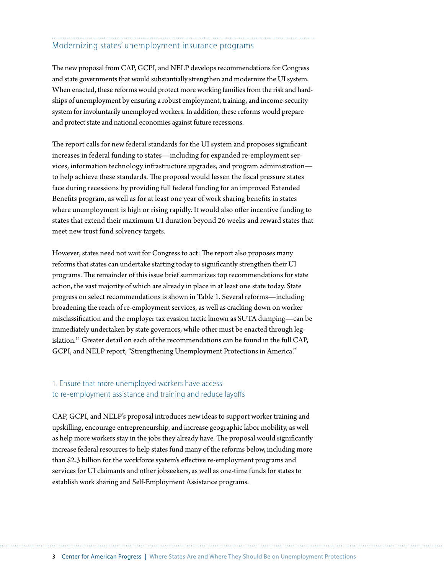# Modernizing states' unemployment insurance programs

The new proposal from CAP, GCPI, and NELP develops recommendations for Congress and state governments that would substantially strengthen and modernize the UI system. When enacted, these reforms would protect more working families from the risk and hardships of unemployment by ensuring a robust employment, training, and income-security system for involuntarily unemployed workers. In addition, these reforms would prepare and protect state and national economies against future recessions.

The report calls for new federal standards for the UI system and proposes significant increases in federal funding to states—including for expanded re-employment services, information technology infrastructure upgrades, and program administration to help achieve these standards. The proposal would lessen the fiscal pressure states face during recessions by providing full federal funding for an improved Extended Benefits program, as well as for at least one year of work sharing benefits in states where unemployment is high or rising rapidly. It would also offer incentive funding to states that extend their maximum UI duration beyond 26 weeks and reward states that meet new trust fund solvency targets.

However, states need not wait for Congress to act: The report also proposes many reforms that states can undertake starting today to significantly strengthen their UI programs. The remainder of this issue brief summarizes top recommendations for state action, the vast majority of which are already in place in at least one state today. State progress on select recommendations is shown in Table 1. Several reforms—including broadening the reach of re-employment services, as well as cracking down on worker misclassification and the employer tax evasion tactic known as SUTA dumping—can be immediately undertaken by state governors, while other must be enacted through legislation.<sup>11</sup> Greater detail on each of the recommendations can be found in the full CAP, GCPI, and NELP report, "Strengthening Unemployment Protections in America."

# 1. Ensure that more unemployed workers have access to re-employment assistance and training and reduce layoffs

CAP, GCPI, and NELP's proposal introduces new ideas to support worker training and upskilling, encourage entrepreneurship, and increase geographic labor mobility, as well as help more workers stay in the jobs they already have. The proposal would significantly increase federal resources to help states fund many of the reforms below, including more than \$2.3 billion for the workforce system's effective re-employment programs and services for UI claimants and other jobseekers, as well as one-time funds for states to establish work sharing and Self-Employment Assistance programs.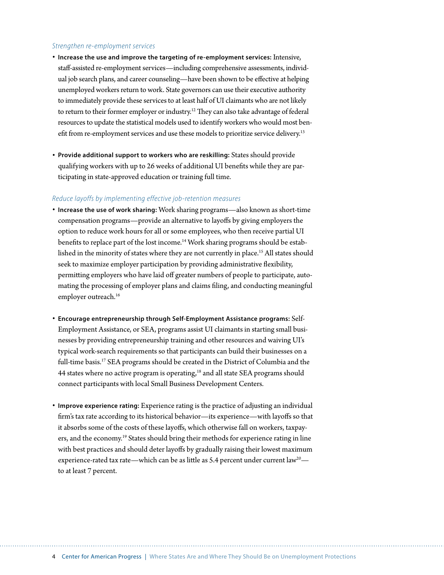#### *Strengthen re-employment services*

- **Increase the use and improve the targeting of re-employment services:** Intensive, staff-assisted re-employment services—including comprehensive assessments, individual job search plans, and career counseling—have been shown to be effective at helping unemployed workers return to work. State governors can use their executive authority to immediately provide these services to at least half of UI claimants who are not likely to return to their former employer or industry.<sup>12</sup> They can also take advantage of federal resources to update the statistical models used to identify workers who would most benefit from re-employment services and use these models to prioritize service delivery.<sup>13</sup>
- **Provide additional support to workers who are reskilling:** States should provide qualifying workers with up to 26 weeks of additional UI benefits while they are participating in state-approved education or training full time.

#### *Reduce layoffs by implementing effective job-retention measures*

- **Increase the use of work sharing:** Work sharing programs—also known as short-time compensation programs—provide an alternative to layoffs by giving employers the option to reduce work hours for all or some employees, who then receive partial UI benefits to replace part of the lost income.<sup>14</sup> Work sharing programs should be established in the minority of states where they are not currently in place.<sup>15</sup> All states should seek to maximize employer participation by providing administrative flexibility, permitting employers who have laid off greater numbers of people to participate, automating the processing of employer plans and claims filing, and conducting meaningful employer outreach.<sup>16</sup>
- **Encourage entrepreneurship through Self-Employment Assistance programs:** Self-Employment Assistance, or SEA, programs assist UI claimants in starting small businesses by providing entrepreneurship training and other resources and waiving UI's typical work-search requirements so that participants can build their businesses on a full-time basis.<sup>17</sup> SEA programs should be created in the District of Columbia and the 44 states where no active program is operating,<sup>18</sup> and all state SEA programs should connect participants with local Small Business Development Centers.
- **Improve experience rating:** Experience rating is the practice of adjusting an individual firm's tax rate according to its historical behavior—its experience—with layoffs so that it absorbs some of the costs of these layoffs, which otherwise fall on workers, taxpayers, and the economy.<sup>19</sup> States should bring their methods for experience rating in line with best practices and should deter layoffs by gradually raising their lowest maximum experience-rated tax rate—which can be as little as 5.4 percent under current law<sup>20</sup> to at least 7 percent.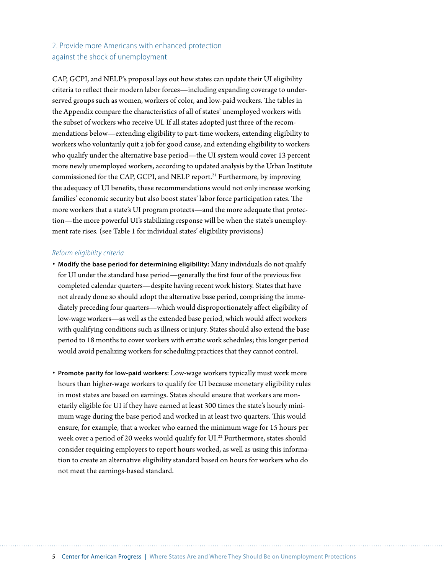# 2. Provide more Americans with enhanced protection against the shock of unemployment

CAP, GCPI, and NELP's proposal lays out how states can update their UI eligibility criteria to reflect their modern labor forces—including expanding coverage to underserved groups such as women, workers of color, and low-paid workers. The tables in the Appendix compare the characteristics of all of states' unemployed workers with the subset of workers who receive UI. If all states adopted just three of the recommendations below—extending eligibility to part-time workers, extending eligibility to workers who voluntarily quit a job for good cause, and extending eligibility to workers who qualify under the alternative base period—the UI system would cover 13 percent more newly unemployed workers, according to updated analysis by the Urban Institute commissioned for the CAP, GCPI, and NELP report.<sup>21</sup> Furthermore, by improving the adequacy of UI benefits, these recommendations would not only increase working families' economic security but also boost states' labor force participation rates. The more workers that a state's UI program protects—and the more adequate that protection—the more powerful UI's stabilizing response will be when the state's unemployment rate rises. (see Table 1 for individual states' eligibility provisions)

#### *Reform eligibility criteria*

- **Modify the base period for determining eligibility:** Many individuals do not qualify for UI under the standard base period—generally the first four of the previous five completed calendar quarters—despite having recent work history. States that have not already done so should adopt the alternative base period, comprising the immediately preceding four quarters—which would disproportionately affect eligibility of low-wage workers—as well as the extended base period, which would affect workers with qualifying conditions such as illness or injury. States should also extend the base period to 18 months to cover workers with erratic work schedules; this longer period would avoid penalizing workers for scheduling practices that they cannot control.
- **Promote parity for low-paid workers:** Low-wage workers typically must work more hours than higher-wage workers to qualify for UI because monetary eligibility rules in most states are based on earnings. States should ensure that workers are monetarily eligible for UI if they have earned at least 300 times the state's hourly minimum wage during the base period and worked in at least two quarters. This would ensure, for example, that a worker who earned the minimum wage for 15 hours per week over a period of 20 weeks would qualify for UI.<sup>22</sup> Furthermore, states should consider requiring employers to report hours worked, as well as using this information to create an alternative eligibility standard based on hours for workers who do not meet the earnings-based standard.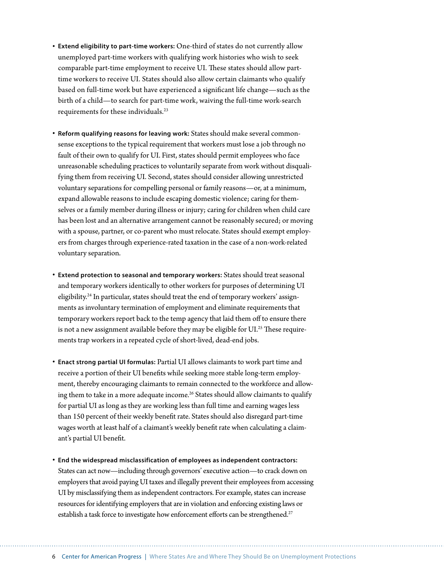- **Extend eligibility to part-time workers:** One-third of states do not currently allow unemployed part-time workers with qualifying work histories who wish to seek comparable part-time employment to receive UI. These states should allow parttime workers to receive UI. States should also allow certain claimants who qualify based on full-time work but have experienced a significant life change—such as the birth of a child—to search for part-time work, waiving the full-time work-search requirements for these individuals.23
- **Reform qualifying reasons for leaving work:** States should make several commonsense exceptions to the typical requirement that workers must lose a job through no fault of their own to qualify for UI. First, states should permit employees who face unreasonable scheduling practices to voluntarily separate from work without disqualifying them from receiving UI. Second, states should consider allowing unrestricted voluntary separations for compelling personal or family reasons—or, at a minimum, expand allowable reasons to include escaping domestic violence; caring for themselves or a family member during illness or injury; caring for children when child care has been lost and an alternative arrangement cannot be reasonably secured; or moving with a spouse, partner, or co-parent who must relocate. States should exempt employers from charges through experience-rated taxation in the case of a non-work-related voluntary separation.
- **Extend protection to seasonal and temporary workers:** States should treat seasonal and temporary workers identically to other workers for purposes of determining UI eligibility.<sup>24</sup> In particular, states should treat the end of temporary workers' assignments as involuntary termination of employment and eliminate requirements that temporary workers report back to the temp agency that laid them off to ensure there is not a new assignment available before they may be eligible for  $UI^{25}$  These requirements trap workers in a repeated cycle of short-lived, dead-end jobs.
- **Enact strong partial UI formulas:** Partial UI allows claimants to work part time and receive a portion of their UI benefits while seeking more stable long-term employment, thereby encouraging claimants to remain connected to the workforce and allowing them to take in a more adequate income.<sup>26</sup> States should allow claimants to qualify for partial UI as long as they are working less than full time and earning wages less than 150 percent of their weekly benefit rate. States should also disregard part-time wages worth at least half of a claimant's weekly benefit rate when calculating a claimant's partial UI benefit.
- **End the widespread misclassification of employees as independent contractors:** States can act now—including through governors' executive action—to crack down on employers that avoid paying UI taxes and illegally prevent their employees from accessing UI by misclassifying them as independent contractors. For example, states can increase resources for identifying employers that are in violation and enforcing existing laws or establish a task force to investigate how enforcement efforts can be strengthened.<sup>27</sup>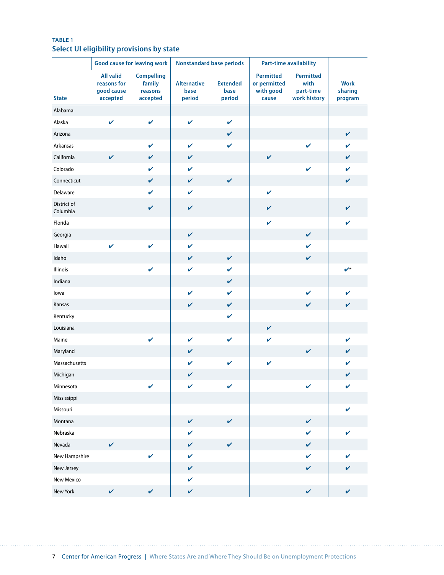# **TABLE 1 Select UI eligibility provisions by state**

|                         |                                                           | <b>Good cause for leaving work</b>                 |                                      | <b>Nonstandard base periods</b>   |                                                        | <b>Part-time availability</b>                         |                        |
|-------------------------|-----------------------------------------------------------|----------------------------------------------------|--------------------------------------|-----------------------------------|--------------------------------------------------------|-------------------------------------------------------|------------------------|
| <b>State</b>            | <b>All valid</b><br>reasons for<br>good cause<br>accepted | <b>Compelling</b><br>family<br>reasons<br>accepted | <b>Alternative</b><br>base<br>period | <b>Extended</b><br>base<br>period | <b>Permitted</b><br>or permitted<br>with good<br>cause | <b>Permitted</b><br>with<br>part-time<br>work history | <b>Work</b><br>sharing |
|                         |                                                           |                                                    |                                      |                                   |                                                        |                                                       | program                |
| Alabama<br>Alaska       | $\checkmark$                                              | $\checkmark$                                       | $\checkmark$                         | $\checkmark$                      |                                                        |                                                       |                        |
| Arizona                 |                                                           |                                                    |                                      | V                                 |                                                        |                                                       | V                      |
| Arkansas                |                                                           | V                                                  | V                                    | V                                 |                                                        | $\checkmark$                                          | V                      |
| California              | $\checkmark$                                              | $\mathbf v$                                        | $\mathbf v$                          |                                   | $\checkmark$                                           |                                                       | V                      |
| Colorado                |                                                           | $\mathbf v$                                        | $\mathbf v$                          |                                   |                                                        | $\mathbf v$                                           | V                      |
| Connecticut             |                                                           | $\mathbf v$                                        | $\checkmark$                         | $\checkmark$                      |                                                        |                                                       | V                      |
| Delaware                |                                                           | $\mathbf v$                                        | $\checkmark$                         |                                   | $\mathbf v$                                            |                                                       |                        |
| District of<br>Columbia |                                                           | V                                                  | $\checkmark$                         |                                   | $\mathbf v$                                            |                                                       | V                      |
| Florida                 |                                                           |                                                    |                                      |                                   | $\checkmark$                                           |                                                       | V                      |
| Georgia                 |                                                           |                                                    | $\checkmark$                         |                                   |                                                        | $\checkmark$                                          |                        |
| Hawaii                  | $\checkmark$                                              | $\mathbf v$                                        | $\boldsymbol{\nu}$                   |                                   |                                                        | V                                                     |                        |
| Idaho                   |                                                           |                                                    | $\checkmark$                         | $\checkmark$                      |                                                        | $\checkmark$                                          |                        |
| <b>Illinois</b>         |                                                           | $\mathbf v$                                        | $\mathbf v$                          | V                                 |                                                        |                                                       | $\boldsymbol{v}^*$     |
| Indiana                 |                                                           |                                                    |                                      | V                                 |                                                        |                                                       |                        |
| lowa                    |                                                           |                                                    | $\checkmark$                         | V                                 |                                                        | $\checkmark$                                          | V                      |
| Kansas                  |                                                           |                                                    | $\mathbf v$                          | V                                 |                                                        | $\mathbf v$                                           | V                      |
| Kentucky                |                                                           |                                                    |                                      | V                                 |                                                        |                                                       |                        |
| Louisiana               |                                                           |                                                    |                                      |                                   | $\checkmark$                                           |                                                       |                        |
| Maine                   |                                                           | $\checkmark$                                       | $\checkmark$                         | $\mathbf v$                       | $\mathbf v$                                            |                                                       | V                      |
| Maryland                |                                                           |                                                    | $\checkmark$                         |                                   |                                                        | $\checkmark$                                          | V                      |
| Massachusetts           |                                                           |                                                    | V                                    | $\mathbf v$                       | $\mathbf v$                                            |                                                       | V                      |
| Michigan                |                                                           |                                                    | $\checkmark$                         |                                   |                                                        |                                                       | V                      |
| Minnesota               |                                                           | V                                                  | $\checkmark$                         | V                                 |                                                        | $\checkmark$                                          | V                      |
| Mississippi             |                                                           |                                                    |                                      |                                   |                                                        |                                                       |                        |
| Missouri                |                                                           |                                                    |                                      |                                   |                                                        |                                                       | V                      |
| Montana                 |                                                           |                                                    | $\checkmark$                         | $\checkmark$                      |                                                        | $\checkmark$                                          |                        |
| Nebraska                |                                                           |                                                    | V                                    |                                   |                                                        | $\checkmark$                                          | V                      |
| Nevada                  | $\checkmark$                                              |                                                    | $\checkmark$                         | $\checkmark$                      |                                                        | $\checkmark$                                          |                        |
| New Hampshire           |                                                           | $\checkmark$                                       | $\checkmark$                         |                                   |                                                        | $\mathbf{v}$                                          | V                      |
| New Jersey              |                                                           |                                                    | $\checkmark$                         |                                   |                                                        | $\checkmark$                                          | V                      |
| New Mexico              |                                                           |                                                    | $\checkmark$                         |                                   |                                                        |                                                       |                        |
| New York                | $\checkmark$                                              | $\checkmark$                                       | $\checkmark$                         |                                   |                                                        | $\checkmark$                                          | $\checkmark$           |

. . . . . . .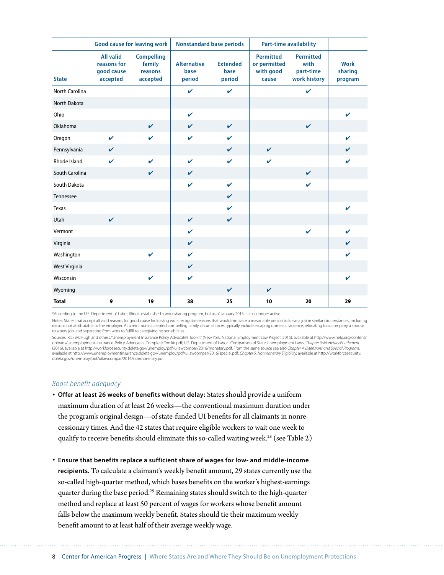|                       | <b>Good cause for leaving work</b>                        |                                                    | <b>Nonstandard base periods</b>      |                                   |                                                        | <b>Part-time availability</b>                         |                                   |
|-----------------------|-----------------------------------------------------------|----------------------------------------------------|--------------------------------------|-----------------------------------|--------------------------------------------------------|-------------------------------------------------------|-----------------------------------|
| <b>State</b>          | <b>All valid</b><br>reasons for<br>good cause<br>accepted | <b>Compelling</b><br>family<br>reasons<br>accepted | <b>Alternative</b><br>base<br>period | <b>Extended</b><br>base<br>period | <b>Permitted</b><br>or permitted<br>with good<br>cause | <b>Permitted</b><br>with<br>part-time<br>work history | <b>Work</b><br>sharing<br>program |
| <b>North Carolina</b> |                                                           |                                                    | $\mathbf v$                          | $\mathbf v$                       |                                                        | $\mathbf v$                                           |                                   |
| North Dakota          |                                                           |                                                    |                                      |                                   |                                                        |                                                       |                                   |
| Ohio                  |                                                           |                                                    | $\checkmark$                         |                                   |                                                        |                                                       | ✓                                 |
| Oklahoma              |                                                           | $\mathbf{v}$                                       | $\mathbf{v}$                         | $\mathbf{v}$                      |                                                        | $\mathbf{v}$                                          |                                   |
| Oregon                | $\mathbf{v}$                                              | $\mathbf v$                                        | $\mathbf v$                          | V                                 |                                                        |                                                       | $\boldsymbol{\nu}$                |
| Pennsylvania          | $\checkmark$                                              |                                                    |                                      | $\mathbf v$                       | $\checkmark$                                           |                                                       | V                                 |
| Rhode Island          | $\mathbf{v}$                                              | $\checkmark$                                       | $\mathbf v$                          | $\mathbf v$                       | $\mathbf v$                                            |                                                       | $\boldsymbol{\nu}$                |
| South Carolina        |                                                           | $\mathbf{v}$                                       | $\mathbf{v}$                         |                                   |                                                        | $\mathbf{v}$                                          |                                   |
| South Dakota          |                                                           |                                                    | $\mathbf v$                          | $\mathbf v$                       |                                                        | $\mathbf{v}$                                          |                                   |
| Tennessee             |                                                           |                                                    |                                      | $\mathbf v$                       |                                                        |                                                       |                                   |
| Texas                 |                                                           |                                                    |                                      | V                                 |                                                        |                                                       | $\mathbf{v}$                      |
| Utah                  | $\mathbf{v}$                                              |                                                    | $\mathbf{v}$                         | $\mathbf v$                       |                                                        |                                                       |                                   |
| Vermont               |                                                           |                                                    | $\mathbf v$                          |                                   |                                                        | $\mathbf v$                                           | V                                 |
| Virginia              |                                                           |                                                    | $\checkmark$                         |                                   |                                                        |                                                       | V                                 |
| Washington            |                                                           | $\mathbf v$                                        | $\mathbf v$                          |                                   |                                                        |                                                       | V                                 |
| West Virginia         |                                                           |                                                    | $\checkmark$                         |                                   |                                                        |                                                       |                                   |
| Wisconsin             |                                                           | $\mathbf v$                                        | $\checkmark$                         |                                   |                                                        |                                                       | V                                 |
| Wyoming               |                                                           |                                                    |                                      | V                                 | $\checkmark$                                           |                                                       |                                   |
| <b>Total</b>          | 9                                                         | 19                                                 | 38                                   | 25                                | 10                                                     | 20                                                    | 29                                |

\*According to the U.S. Department of Labor, Illinois established a work sharing program, but as of January 2015, it is no longer active.

Notes: States that accept all valid reasons for good cause for leaving work recognize reasons that would motivate a reasonable person to leave a job in similar circumstances, including reasons not attributable to the employer. At a minimum, accepted compelling family circumstances typically include escaping domestic violence, relocating to accompany a spouse to a new job, and separating from work to fulfill to caregiving responsibilities.

Sources: Rick McHugh and others, "Unemployment Insurance Policy Advocate's Toolkit" (New York: National Employment Law Project, 2015), available at http://www.nelp.org/content/ uploads/Unemployment-Insurance-Policy-Advocates-Complete-Toolkit.pdf; U.S. Department of Labor , Comparison of State Unemployment Laws, *Chapter 3: Monetary Entitlement*  (2016), available at http://workforcesecurity.doleta.gov/unemploy/pdf/uilawcompar/2016/monetary.pdf. From the same source see also *Chapter 4: Extensions and Special Programs,* available at http://www.unemploymentinsurance.doleta.gov/unemploy/pdf/uilawcompar/2016/special.pdf; *Chapter 5: Nonmonetary Eligibility,* available at http://workforcesecurity. doleta.gov/unemploy/pdf/uilawcompar/2016/nonmonetary.pdf.

#### *Boost benefit adequacy*

- **Offer at least 26 weeks of benefits without delay:** States should provide a uniform maximum duration of at least 26 weeks—the conventional maximum duration under the program's original design—of state-funded UI benefits for all claimants in nonrecessionary times. And the 42 states that require eligible workers to wait one week to qualify to receive benefits should eliminate this so-called waiting week.<sup>28</sup> (see Table 2)
- **Ensure that benefits replace a sufficient share of wages for low- and middle-income recipients.** To calculate a claimant's weekly benefit amount, 29 states currently use the so-called high-quarter method, which bases benefits on the worker's highest-earnings quarter during the base period.29 Remaining states should switch to the high-quarter method and replace at least 50 percent of wages for workers whose benefit amount falls below the maximum weekly benefit. States should tie their maximum weekly benefit amount to at least half of their average weekly wage.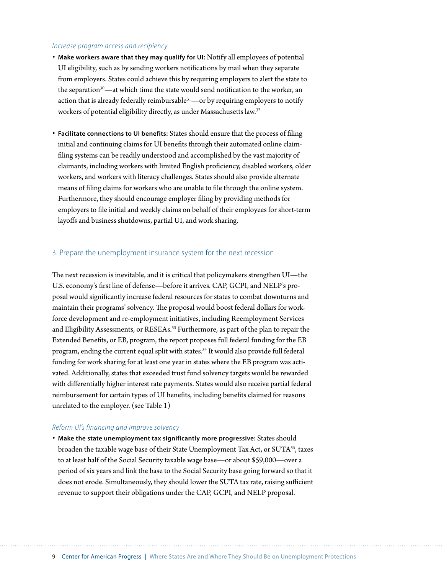#### *Increase program access and recipiency*

- **Make workers aware that they may qualify for UI:** Notify all employees of potential UI eligibility, such as by sending workers notifications by mail when they separate from employers. States could achieve this by requiring employers to alert the state to the separation $30$ —at which time the state would send notification to the worker, an action that is already federally reimbursable $31$ —or by requiring employers to notify workers of potential eligibility directly, as under Massachusetts law.32
- **Facilitate connections to UI benefits:** States should ensure that the process of filing initial and continuing claims for UI benefits through their automated online claimfiling systems can be readily understood and accomplished by the vast majority of claimants, including workers with limited English proficiency, disabled workers, older workers, and workers with literacy challenges. States should also provide alternate means of filing claims for workers who are unable to file through the online system. Furthermore, they should encourage employer filing by providing methods for employers to file initial and weekly claims on behalf of their employees for short-term layoffs and business shutdowns, partial UI, and work sharing.

#### 3. Prepare the unemployment insurance system for the next recession

The next recession is inevitable, and it is critical that policymakers strengthen UI—the U.S. economy's first line of defense—before it arrives. CAP, GCPI, and NELP's proposal would significantly increase federal resources for states to combat downturns and maintain their programs' solvency. The proposal would boost federal dollars for workforce development and re-employment initiatives, including Reemployment Services and Eligibility Assessments, or RESEAs.33 Furthermore, as part of the plan to repair the Extended Benefits, or EB, program, the report proposes full federal funding for the EB program, ending the current equal split with states.<sup>34</sup> It would also provide full federal funding for work sharing for at least one year in states where the EB program was activated. Additionally, states that exceeded trust fund solvency targets would be rewarded with differentially higher interest rate payments. States would also receive partial federal reimbursement for certain types of UI benefits, including benefits claimed for reasons unrelated to the employer. (see Table 1)

#### *Reform UI's financing and improve solvency*

• **Make the state unemployment tax significantly more progressive:** States should broaden the taxable wage base of their State Unemployment Tax Act, or SUTA<sup>35</sup>, taxes to at least half of the Social Security taxable wage base—or about \$59,000—over a period of six years and link the base to the Social Security base going forward so that it does not erode. Simultaneously, they should lower the SUTA tax rate, raising sufficient revenue to support their obligations under the CAP, GCPI, and NELP proposal.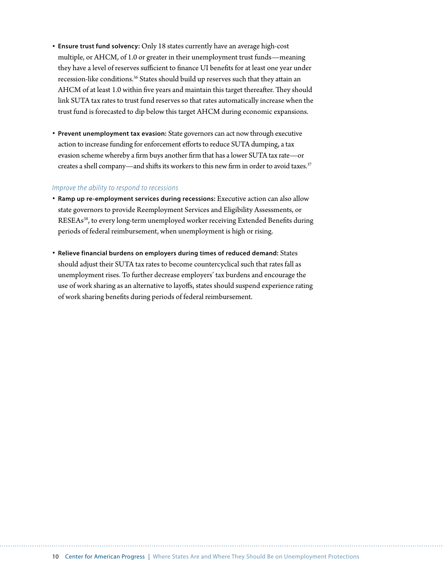- **Ensure trust fund solvency:** Only 18 states currently have an average high-cost multiple, or AHCM, of 1.0 or greater in their unemployment trust funds—meaning they have a level of reserves sufficient to finance UI benefits for at least one year under recession-like conditions.<sup>36</sup> States should build up reserves such that they attain an AHCM of at least 1.0 within five years and maintain this target thereafter. They should link SUTA tax rates to trust fund reserves so that rates automatically increase when the trust fund is forecasted to dip below this target AHCM during economic expansions.
- **Prevent unemployment tax evasion:** State governors can act now through executive action to increase funding for enforcement efforts to reduce SUTA dumping, a tax evasion scheme whereby a firm buys another firm that has a lower SUTA tax rate—or creates a shell company—and shifts its workers to this new firm in order to avoid taxes.<sup>37</sup>

#### *Improve the ability to respond to recessions*

- **Ramp up re-employment services during recessions:** Executive action can also allow state governors to provide Reemployment Services and Eligibility Assessments, or RESEAs38, to every long-term unemployed worker receiving Extended Benefits during periods of federal reimbursement, when unemployment is high or rising.
- **Relieve financial burdens on employers during times of reduced demand:** States should adjust their SUTA tax rates to become countercyclical such that rates fall as unemployment rises. To further decrease employers' tax burdens and encourage the use of work sharing as an alternative to layoffs, states should suspend experience rating of work sharing benefits during periods of federal reimbursement.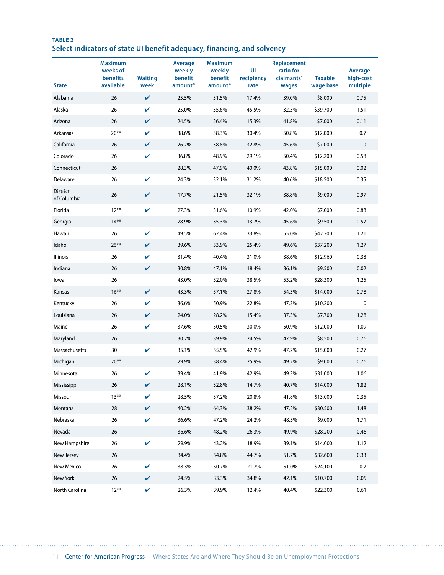# **TABLE 2 Select indicators of state UI benefit adequacy, financing, and solvency**

| <b>State</b>                   | <b>Maximum</b><br>weeks of<br>benefits<br>available | <b>Waiting</b><br>week | <b>Average</b><br>weekly<br>benefit<br>amount* | <b>Maximum</b><br>weekly<br>benefit<br>amount* | UI<br>recipiency<br>rate | Replacement<br>ratio for<br>claimants'<br>wages | <b>Taxable</b><br>wage base | Average<br>high-cost<br>multiple |
|--------------------------------|-----------------------------------------------------|------------------------|------------------------------------------------|------------------------------------------------|--------------------------|-------------------------------------------------|-----------------------------|----------------------------------|
| Alabama                        | 26                                                  | $\checkmark$           | 25.5%                                          | 31.5%                                          | 17.4%                    | 39.0%                                           | \$8,000                     | 0.75                             |
| Alaska                         | 26                                                  | V                      | 25.0%                                          | 35.6%                                          | 45.5%                    | 32.3%                                           | \$39,700                    | 1.51                             |
| Arizona                        | 26                                                  | V                      | 24.5%                                          | 26.4%                                          | 15.3%                    | 41.8%                                           | \$7,000                     | 0.11                             |
| Arkansas                       | $20***$                                             | V                      | 38.6%                                          | 58.3%                                          | 30.4%                    | 50.8%                                           | \$12,000                    | 0.7                              |
| California                     | 26                                                  | V                      | 26.2%                                          | 38.8%                                          | 32.8%                    | 45.6%                                           | \$7,000                     | 0                                |
| Colorado                       | 26                                                  | $\checkmark$           | 36.8%                                          | 48.9%                                          | 29.1%                    | 50.4%                                           | \$12,200                    | 0.58                             |
| Connecticut                    | 26                                                  |                        | 28.3%                                          | 47.9%                                          | 40.0%                    | 43.8%                                           | \$15,000                    | 0.02                             |
| Delaware                       | 26                                                  | V                      | 24.3%                                          | 32.1%                                          | 31.2%                    | 40.6%                                           | \$18,500                    | 0.35                             |
| <b>District</b><br>of Columbia | 26                                                  | V                      | 17.7%                                          | 21.5%                                          | 32.1%                    | 38.8%                                           | \$9,000                     | 0.97                             |
| Florida                        | $12***$                                             | V                      | 27.3%                                          | 31.6%                                          | 10.9%                    | 42.0%                                           | \$7,000                     | 0.88                             |
| Georgia                        | $14***$                                             |                        | 28.9%                                          | 35.3%                                          | 13.7%                    | 45.6%                                           | \$9,500                     | 0.57                             |
| Hawaii                         | 26                                                  | V                      | 49.5%                                          | 62.4%                                          | 33.8%                    | 55.0%                                           | \$42,200                    | 1.21                             |
| Idaho                          | $26***$                                             | V                      | 39.6%                                          | 53.9%                                          | 25.4%                    | 49.6%                                           | \$37,200                    | 1.27                             |
| Illinois                       | 26                                                  | V                      | 31.4%                                          | 40.4%                                          | 31.0%                    | 38.6%                                           | \$12,960                    | 0.38                             |
| Indiana                        | 26                                                  | V                      | 30.8%                                          | 47.1%                                          | 18.4%                    | 36.1%                                           | \$9,500                     | 0.02                             |
| lowa                           | 26                                                  |                        | 43.0%                                          | 52.0%                                          | 38.5%                    | 53.2%                                           | \$28,300                    | 1.25                             |
| Kansas                         | $16***$                                             | $\checkmark$           | 43.3%                                          | 57.1%                                          | 27.8%                    | 54.3%                                           | \$14,000                    | 0.78                             |
| Kentucky                       | 26                                                  | V                      | 36.6%                                          | 50.9%                                          | 22.8%                    | 47.3%                                           | \$10,200                    | 0                                |
| Louisiana                      | 26                                                  | V                      | 24.0%                                          | 28.2%                                          | 15.4%                    | 37.3%                                           | \$7,700                     | 1.28                             |
| Maine                          | 26                                                  | V                      | 37.6%                                          | 50.5%                                          | 30.0%                    | 50.9%                                           | \$12,000                    | 1.09                             |
| Maryland                       | 26                                                  |                        | 30.2%                                          | 39.9%                                          | 24.5%                    | 47.9%                                           | \$8,500                     | 0.76                             |
| Massachusetts                  | 30                                                  | V                      | 35.1%                                          | 55.5%                                          | 42.9%                    | 47.2%                                           | \$15,000                    | 0.27                             |
| Michigan                       | $20**$                                              |                        | 29.9%                                          | 38.4%                                          | 25.9%                    | 49.2%                                           | \$9,000                     | 0.76                             |
| Minnesota                      | 26                                                  | V                      | 39.4%                                          | 41.9%                                          | 42.9%                    | 49.3%                                           | \$31,000                    | 1.06                             |
| Mississippi                    | 26                                                  | $\checkmark$           | 28.1%                                          | 32.8%                                          | 14.7%                    | 40.7%                                           | \$14,000                    | 1.82                             |
| Missouri                       | $13***$                                             | V                      | 28.5%                                          | 37.2%                                          | 20.8%                    | 41.8%                                           | \$13,000                    | 0.35                             |
| Montana                        | 28                                                  | V                      | 40.2%                                          | 64.3%                                          | 38.2%                    | 47.2%                                           | \$30,500                    | 1.48                             |
| Nebraska                       | 26                                                  | V                      | 36.6%                                          | 47.2%                                          | 24.2%                    | 48.5%                                           | \$9,000                     | 1.71                             |
| Nevada                         | 26                                                  |                        | 36.6%                                          | 48.2%                                          | 26.3%                    | 49.9%                                           | \$28,200                    | 0.46                             |
| New Hampshire                  | 26                                                  | V                      | 29.9%                                          | 43.2%                                          | 18.9%                    | 39.1%                                           | \$14,000                    | 1.12                             |
| New Jersey                     | 26                                                  |                        | 34.4%                                          | 54.8%                                          | 44.7%                    | 51.7%                                           | \$32,600                    | 0.33                             |
| New Mexico                     | 26                                                  | $\checkmark$           | 38.3%                                          | 50.7%                                          | 21.2%                    | 51.0%                                           | \$24,100                    | 0.7                              |
| New York                       | 26                                                  | V                      | 24.5%                                          | 33.3%                                          | 34.8%                    | 42.1%                                           | \$10,700                    | 0.05                             |
| North Carolina                 | $12***$                                             | V                      | 26.3%                                          | 39.9%                                          | 12.4%                    | 40.4%                                           | \$22,300                    | 0.61                             |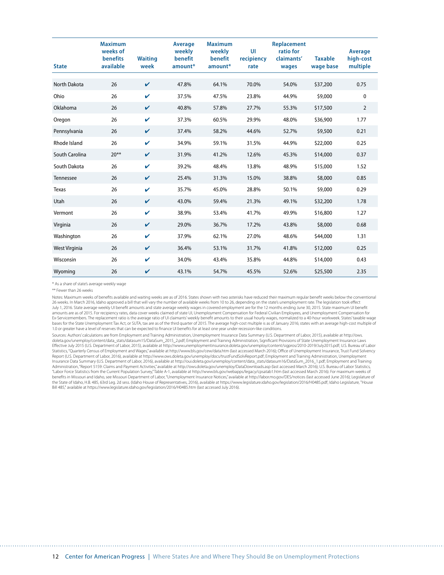| <b>State</b>   | <b>Maximum</b><br>weeks of<br><b>benefits</b><br>available | <b>Waiting</b><br>week | Average<br>weekly<br>benefit<br>amount* | <b>Maximum</b><br>weekly<br>benefit<br>amount* | UI<br>recipiency<br>rate | Replacement<br>ratio for<br>claimants'<br>wages | <b>Taxable</b><br>wage base | Average<br>high-cost<br>multiple |
|----------------|------------------------------------------------------------|------------------------|-----------------------------------------|------------------------------------------------|--------------------------|-------------------------------------------------|-----------------------------|----------------------------------|
| North Dakota   | 26                                                         | V                      | 47.8%                                   | 64.1%                                          | 70.0%                    | 54.0%                                           | \$37,200                    | 0.75                             |
| Ohio           | 26                                                         | V                      | 37.5%                                   | 47.5%                                          | 23.8%                    | 44.9%                                           | \$9,000                     | 0                                |
| Oklahoma       | 26                                                         | V                      | 40.8%                                   | 57.8%                                          | 27.7%                    | 55.3%                                           | \$17,500                    | $\overline{2}$                   |
| Oregon         | 26                                                         | V                      | 37.3%                                   | 60.5%                                          | 29.9%                    | 48.0%                                           | \$36,900                    | 1.77                             |
| Pennsylvania   | 26                                                         | V                      | 37.4%                                   | 58.2%                                          | 44.6%                    | 52.7%                                           | \$9,500                     | 0.21                             |
| Rhode Island   | 26                                                         | $\mathbf v$            | 34.9%                                   | 59.1%                                          | 31.5%                    | 44.9%                                           | \$22,000                    | 0.25                             |
| South Carolina | $20**$                                                     | V                      | 31.9%                                   | 41.2%                                          | 12.6%                    | 45.3%                                           | \$14,000                    | 0.37                             |
| South Dakota   | 26                                                         | $\mathbf v$            | 39.2%                                   | 48.4%                                          | 13.8%                    | 48.9%                                           | \$15,000                    | 1.52                             |
| Tennessee      | 26                                                         | V                      | 25.4%                                   | 31.3%                                          | 15.0%                    | 38.8%                                           | \$8,000                     | 0.85                             |
| <b>Texas</b>   | 26                                                         | V                      | 35.7%                                   | 45.0%                                          | 28.8%                    | 50.1%                                           | \$9,000                     | 0.29                             |
| Utah           | 26                                                         | $\mathbf v$            | 43.0%                                   | 59.4%                                          | 21.3%                    | 49.1%                                           | \$32,200                    | 1.78                             |
| Vermont        | 26                                                         | $\mathbf v$            | 38.9%                                   | 53.4%                                          | 41.7%                    | 49.9%                                           | \$16,800                    | 1.27                             |
| Virginia       | 26                                                         | $\mathbf v$            | 29.0%                                   | 36.7%                                          | 17.2%                    | 43.8%                                           | \$8,000                     | 0.68                             |
| Washington     | 26                                                         | $\mathbf v$            | 37.9%                                   | 62.1%                                          | 27.0%                    | 48.6%                                           | \$44,000                    | 1.31                             |
| West Virginia  | 26                                                         | V                      | 36.4%                                   | 53.1%                                          | 31.7%                    | 41.8%                                           | \$12,000                    | 0.25                             |
| Wisconsin      | 26                                                         | $\mathbf v$            | 34.0%                                   | 43.4%                                          | 35.8%                    | 44.8%                                           | \$14,000                    | 0.43                             |
| Wyoming        | 26                                                         | $\boldsymbol{\nu}$     | 43.1%                                   | 54.7%                                          | 45.5%                    | 52.6%                                           | \$25,500                    | 2.35                             |

\* As a share of state's average weekly wage

\*\* Fewer than 26 weeks

Notes: Maximum weeks of benefits available and waiting weeks are as of 2016. States shown with two asterisks have reduced their maximum regular benefit weeks below the conventional 26 weeks. In March 2016, Idaho approved a bill that will vary the number of available weeks from 10 to 26, depending on the state's unemployment rate. The legislation took effect July 1, 2016. State average weekly UI benefit amounts and state average weekly wages in covered employment are for the 12 months ending June 30, 2015. State maximum UI benefit<br>amounts are as of 2015. For recipiency rates, Ex-Servicemembers. The replacement ratio is the average ratio of UI claimants' weekly benefit amounts to their usual hourly wages, normalized to a 40-hour workweek. States' taxable wage bases for the State Unemployment Tax Act, or SUTA, tax are as of the third quarter of 2015. The average high-cost multiple is as of January 2016; states with an average high-cost multiple of 1.0 or greater have a level of reserves that can be expected to finance UI benefits for at least one year under recession-like conditions.

Sources: Authors' calculations are from Employment and Training Administration, Unemployment Insurance Data Summary (U.S. Department of Labor, 2015), available at http://ows. doleta.gov/unemploy/content/data\_stats/datasum15/DataSum\_2015\_2.pdf; Employment and Training Administration, Significant Provisions of State Unemployment Insurance Laws Effective July 2015 (U.S. Department of Labor, 2015), available at http://www.unemploymentinsurance.doleta.gov/unemploy/content/sigpros/2010-2019/July2015.pdf; U.S. Bureau of Labor<br>Statistics, "Quarterly Census of Employme Report (U.S. Department of Labor, 2016), available at http://www.ows.doleta.gov/unemploy/docs/trustFundSolvReport.pdf; Employment and Training Administration, Unemployment Insurance Data Summary (U.S. Department of Labor, 2016), available at http://oui.doleta.gov/unemploy/content/data\_stats/datasum16/DataSum\_2016\_1.pdf; Employment and Training Administration, "Report 5159: Claims and Payment Activities," available at http://ows.doleta.gov/unemploy/DataDownloads.asp (last accessed March 2016); U.S. Bureau of Labor Statistics, "Labor Force Statistics from the Current Population Survey," Table A-1, available at http://www.bls.gov/webapps/legacy/cpsatab1.htm (last accessed March 2016). For maximum weeks of benefits in Missouri and Idaho, see Missouri Department of Labor, "Unemployment Insurance Notices," available at http://labor.mo.gov/DES/notices (last accessed June 2016); Legislature of the State of Idaho, H.B. 485, 63rd Leg. 2d sess. (Idaho House of Representatives, 2016), available at https://www.legislature.idaho.gov/legislation/2016/H0485.pdf; Idaho Legislature, "House Bill 485," available at https://www.legislature.idaho.gov/legislation/2016/H0485.htm (last accessed July 2016).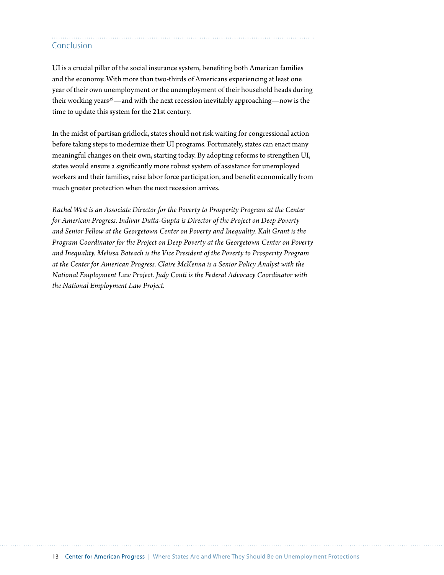# Conclusion

UI is a crucial pillar of the social insurance system, benefiting both American families and the economy. With more than two-thirds of Americans experiencing at least one year of their own unemployment or the unemployment of their household heads during their working years<sup>39</sup>—and with the next recession inevitably approaching—now is the time to update this system for the 21st century.

In the midst of partisan gridlock, states should not risk waiting for congressional action before taking steps to modernize their UI programs. Fortunately, states can enact many meaningful changes on their own, starting today. By adopting reforms to strengthen UI, states would ensure a significantly more robust system of assistance for unemployed workers and their families, raise labor force participation, and benefit economically from much greater protection when the next recession arrives.

*Rachel West is an Associate Director for the Poverty to Prosperity Program at the Center for American Progress. Indivar Dutta-Gupta is Director of the Project on Deep Poverty and Senior Fellow at the Georgetown Center on Poverty and Inequality. Kali Grant is the Program Coordinator for the Project on Deep Poverty at the Georgetown Center on Poverty and Inequality. Melissa Boteach is the Vice President of the Poverty to Prosperity Program at the Center for American Progress. Claire McKenna is a Senior Policy Analyst with the National Employment Law Project. Judy Conti is the Federal Advocacy Coordinator with the National Employment Law Project.*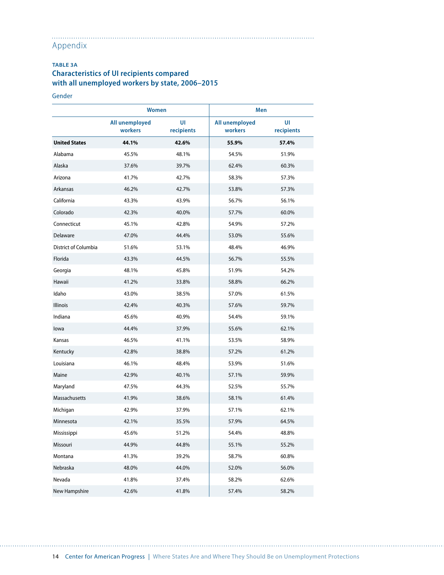#### . . . . . . . . . . . . . . . Appendix

### **TABLE 3A Characteristics of UI recipients compared with all unemployed workers by state, 2006–2015**

Gender

. . . . . . . .

|                      | <b>Women</b>              |                  | Men                       |                  |  |  |
|----------------------|---------------------------|------------------|---------------------------|------------------|--|--|
|                      | All unemployed<br>workers | UI<br>recipients | All unemployed<br>workers | UI<br>recipients |  |  |
| <b>United States</b> | 44.1%                     | 42.6%            | 55.9%                     | 57.4%            |  |  |
| Alabama              | 45.5%                     | 48.1%            | 54.5%                     | 51.9%            |  |  |
| Alaska               | 37.6%                     | 39.7%            | 62.4%                     | 60.3%            |  |  |
| Arizona              | 41.7%                     | 42.7%            | 58.3%                     | 57.3%            |  |  |
| Arkansas             | 46.2%                     | 42.7%            | 53.8%                     | 57.3%            |  |  |
| California           | 43.3%                     | 43.9%            | 56.7%                     | 56.1%            |  |  |
| Colorado             | 42.3%                     | 40.0%            | 57.7%                     | 60.0%            |  |  |
| Connecticut          | 45.1%                     | 42.8%            | 54.9%                     | 57.2%            |  |  |
| Delaware             | 47.0%                     | 44.4%            | 53.0%                     | 55.6%            |  |  |
| District of Columbia | 51.6%                     | 53.1%            | 48.4%                     | 46.9%            |  |  |
| Florida              | 43.3%                     | 44.5%            | 56.7%                     | 55.5%            |  |  |
| Georgia              | 48.1%                     | 45.8%            | 51.9%                     | 54.2%            |  |  |
| Hawaii               | 41.2%                     | 33.8%            | 58.8%                     | 66.2%            |  |  |
| Idaho                | 43.0%                     | 38.5%            | 57.0%                     | 61.5%            |  |  |
| Illinois             | 42.4%                     | 40.3%            | 57.6%                     | 59.7%            |  |  |
| Indiana              | 45.6%                     | 40.9%            | 54.4%                     | 59.1%            |  |  |
| lowa                 | 44.4%                     | 37.9%            | 55.6%                     | 62.1%            |  |  |
| Kansas               | 46.5%                     | 41.1%            | 53.5%                     | 58.9%            |  |  |
| Kentucky             | 42.8%                     | 38.8%            | 57.2%                     | 61.2%            |  |  |
| Louisiana            | 46.1%                     | 48.4%            | 53.9%                     | 51.6%            |  |  |
| Maine                | 42.9%                     | 40.1%            | 57.1%                     | 59.9%            |  |  |
| Maryland             | 47.5%                     | 44.3%            | 52.5%                     | 55.7%            |  |  |
| Massachusetts        | 41.9%                     | 38.6%            | 58.1%                     | 61.4%            |  |  |
| Michigan             | 42.9%                     | 37.9%            | 57.1%                     | 62.1%            |  |  |
| Minnesota            | 42.1%                     | 35.5%            | 57.9%                     | 64.5%            |  |  |
| Mississippi          | 45.6%                     | 51.2%            | 54.4%                     | 48.8%            |  |  |
| Missouri             | 44.9%                     | 44.8%            | 55.1%                     | 55.2%            |  |  |
| Montana              | 41.3%                     | 39.2%            | 58.7%                     | 60.8%            |  |  |
| Nebraska             | 48.0%                     | 44.0%            | 52.0%                     | 56.0%            |  |  |
| Nevada               | 41.8%                     | 37.4%            | 58.2%                     | 62.6%            |  |  |
| New Hampshire        | 42.6%                     | 41.8%            | 57.4%                     | 58.2%            |  |  |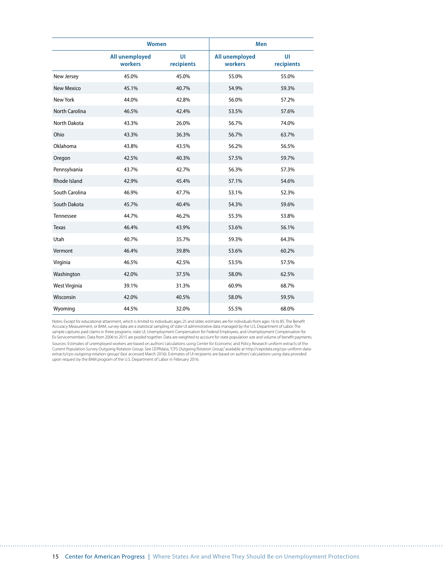|                   | Women                     |                  | Men                       |                  |  |  |
|-------------------|---------------------------|------------------|---------------------------|------------------|--|--|
|                   | All unemployed<br>workers | UI<br>recipients | All unemployed<br>workers | UI<br>recipients |  |  |
| New Jersey        | 45.0%                     | 45.0%            | 55.0%                     | 55.0%            |  |  |
| <b>New Mexico</b> | 45.1%                     | 40.7%            | 54.9%                     | 59.3%            |  |  |
| New York          | 44.0%                     | 42.8%            | 56.0%                     | 57.2%            |  |  |
| North Carolina    | 46.5%                     | 42.4%            | 53.5%                     | 57.6%            |  |  |
| North Dakota      | 43.3%                     | 26.0%            | 56.7%                     | 74.0%            |  |  |
| Ohio              | 43.3%                     | 36.3%            | 56.7%                     | 63.7%            |  |  |
| Oklahoma          | 43.8%                     | 43.5%            | 56.2%                     | 56.5%            |  |  |
| Oregon            | 42.5%                     | 40.3%            | 57.5%                     | 59.7%            |  |  |
| Pennsylvania      | 43.7%                     | 42.7%            | 56.3%                     | 57.3%            |  |  |
| Rhode Island      | 42.9%                     | 45.4%            | 57.1%                     | 54.6%            |  |  |
| South Carolina    | 46.9%                     | 47.7%            | 53.1%                     | 52.3%            |  |  |
| South Dakota      | 45.7%                     | 40.4%            | 54.3%                     | 59.6%            |  |  |
| Tennessee         | 44.7%                     | 46.2%            | 55.3%                     | 53.8%            |  |  |
| <b>Texas</b>      | 46.4%                     | 43.9%            | 53.6%                     | 56.1%            |  |  |
| Utah              | 40.7%                     | 35.7%            | 59.3%                     | 64.3%            |  |  |
| Vermont           | 46.4%                     | 39.8%            | 53.6%                     | 60.2%            |  |  |
| Virginia          | 46.5%                     | 42.5%            | 53.5%                     | 57.5%            |  |  |
| Washington        | 42.0%                     | 37.5%            | 58.0%                     | 62.5%            |  |  |
| West Virginia     | 39.1%                     | 31.3%            | 60.9%                     | 68.7%            |  |  |
| Wisconsin         | 42.0%                     | 40.5%            | 58.0%                     | 59.5%            |  |  |
| Wyoming           | 44.5%                     | 32.0%            | 55.5%                     | 68.0%            |  |  |

Notes: Except for educational attainment, which is limited to individuals ages 25 and older, estimates are for individuals from ages 16 to 85. The Benefit Accuracy Measurement, or BAM, survey data are a statistical sampling of state UI administrative data managed by the U.S. Department of Labor. The<br>sample captures paid claims in three programs: state UI, Unemployment Compen Ex-Servicemembers. Data from 2006 to 2015 are pooled together. Data are weighted to account for state population size and volume of benefit payments. Sources: Estimates of unemployed workers are based on authors'calculations using Center for Economic and Policy Research uniform extracts of the<br>Current Population Survey Outgoing Rotation Group. See CEPRdata,"CPS Outgoing upon request by the BAM program of the U.S. Department of Labor in February 2016.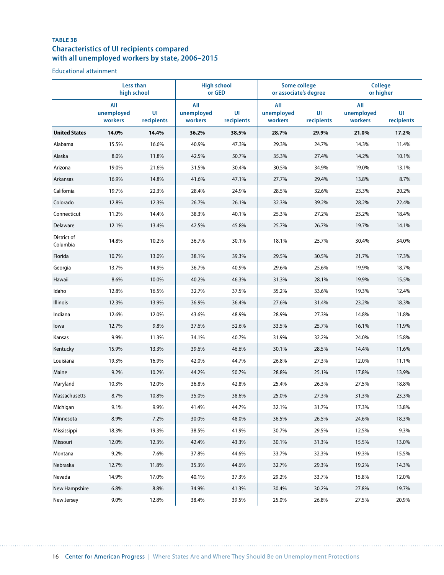# **TABLE 3B Characteristics of UI recipients compared with all unemployed workers by state, 2006–2015**

Educational attainment

|                         | Less than<br>high school     |                  | <b>High school</b><br>or GED |                  | <b>Some college</b><br>or associate's degree |                  | <b>College</b><br>or higher  |                  |
|-------------------------|------------------------------|------------------|------------------------------|------------------|----------------------------------------------|------------------|------------------------------|------------------|
|                         | All<br>unemployed<br>workers | UI<br>recipients | All<br>unemployed<br>workers | UI<br>recipients | All<br>unemployed<br>workers                 | UI<br>recipients | All<br>unemployed<br>workers | UI<br>recipients |
| <b>United States</b>    | 14.0%                        | 14.4%            | 36.2%                        | 38.5%            | 28.7%                                        | 29.9%            | 21.0%                        | 17.2%            |
| Alabama                 | 15.5%                        | 16.6%            | 40.9%                        | 47.3%            | 29.3%                                        | 24.7%            | 14.3%                        | 11.4%            |
| Alaska                  | 8.0%                         | 11.8%            | 42.5%                        | 50.7%            | 35.3%                                        | 27.4%            | 14.2%                        | 10.1%            |
| Arizona                 | 19.0%                        | 21.6%            | 31.5%                        | 30.4%            | 30.5%                                        | 34.9%            | 19.0%                        | 13.1%            |
| Arkansas                | 16.9%                        | 14.8%            | 41.6%                        | 47.1%            | 27.7%                                        | 29.4%            | 13.8%                        | 8.7%             |
| California              | 19.7%                        | 22.3%            | 28.4%                        | 24.9%            | 28.5%                                        | 32.6%            | 23.3%                        | 20.2%            |
| Colorado                | 12.8%                        | 12.3%            | 26.7%                        | 26.1%            | 32.3%                                        | 39.2%            | 28.2%                        | 22.4%            |
| Connecticut             | 11.2%                        | 14.4%            | 38.3%                        | 40.1%            | 25.3%                                        | 27.2%            | 25.2%                        | 18.4%            |
| Delaware                | 12.1%                        | 13.4%            | 42.5%                        | 45.8%            | 25.7%                                        | 26.7%            | 19.7%                        | 14.1%            |
| District of<br>Columbia | 14.8%                        | 10.2%            | 36.7%                        | 30.1%            | 18.1%                                        | 25.7%            | 30.4%                        | 34.0%            |
| Florida                 | 10.7%                        | 13.0%            | 38.1%                        | 39.3%            | 29.5%                                        | 30.5%            | 21.7%                        | 17.3%            |
| Georgia                 | 13.7%                        | 14.9%            | 36.7%                        | 40.9%            | 29.6%                                        | 25.6%            | 19.9%                        | 18.7%            |
| Hawaii                  | 8.6%                         | 10.0%            | 40.2%                        | 46.3%            | 31.3%                                        | 28.1%            | 19.9%                        | 15.5%            |
| Idaho                   | 12.8%                        | 16.5%            | 32.7%                        | 37.5%            | 35.2%                                        | 33.6%            | 19.3%                        | 12.4%            |
| Illinois                | 12.3%                        | 13.9%            | 36.9%                        | 36.4%            | 27.6%                                        | 31.4%            | 23.2%                        | 18.3%            |
| Indiana                 | 12.6%                        | 12.0%            | 43.6%                        | 48.9%            | 28.9%                                        | 27.3%            | 14.8%                        | 11.8%            |
| lowa                    | 12.7%                        | 9.8%             | 37.6%                        | 52.6%            | 33.5%                                        | 25.7%            | 16.1%                        | 11.9%            |
| Kansas                  | 9.9%                         | 11.3%            | 34.1%                        | 40.7%            | 31.9%                                        | 32.2%            | 24.0%                        | 15.8%            |
| Kentucky                | 15.9%                        | 13.3%            | 39.6%                        | 46.6%            | 30.1%                                        | 28.5%            | 14.4%                        | 11.6%            |
| Louisiana               | 19.3%                        | 16.9%            | 42.0%                        | 44.7%            | 26.8%                                        | 27.3%            | 12.0%                        | 11.1%            |
| Maine                   | 9.2%                         | 10.2%            | 44.2%                        | 50.7%            | 28.8%                                        | 25.1%            | 17.8%                        | 13.9%            |
| Maryland                | 10.3%                        | 12.0%            | 36.8%                        | 42.8%            | 25.4%                                        | 26.3%            | 27.5%                        | 18.8%            |
| Massachusetts           | 8.7%                         | 10.8%            | 35.0%                        | 38.6%            | 25.0%                                        | 27.3%            | 31.3%                        | 23.3%            |
| Michigan                | 9.1%                         | 9.9%             | 41.4%                        | 44.7%            | 32.1%                                        | 31.7%            | 17.3%                        | 13.8%            |
| Minnesota               | 8.9%                         | 7.2%             | 30.0%                        | 48.0%            | 36.5%                                        | 26.5%            | 24.6%                        | 18.3%            |
| Mississippi             | 18.3%                        | 19.3%            | 38.5%                        | 41.9%            | 30.7%                                        | 29.5%            | 12.5%                        | 9.3%             |
| Missouri                | 12.0%                        | 12.3%            | 42.4%                        | 43.3%            | 30.1%                                        | 31.3%            | 15.5%                        | 13.0%            |
| Montana                 | 9.2%                         | 7.6%             | 37.8%                        | 44.6%            | 33.7%                                        | 32.3%            | 19.3%                        | 15.5%            |
| Nebraska                | 12.7%                        | 11.8%            | 35.3%                        | 44.6%            | 32.7%                                        | 29.3%            | 19.2%                        | 14.3%            |
| Nevada                  | 14.9%                        | 17.0%            | 40.1%                        | 37.3%            | 29.2%                                        | 33.7%            | 15.8%                        | 12.0%            |
| New Hampshire           | 6.8%                         | 8.8%             | 34.9%                        | 41.3%            | 30.4%                                        | 30.2%            | 27.8%                        | 19.7%            |
| New Jersey              | 9.0%                         | 12.8%            | 38.4%                        | 39.5%            | 25.0%                                        | 26.8%            | 27.5%                        | 20.9%            |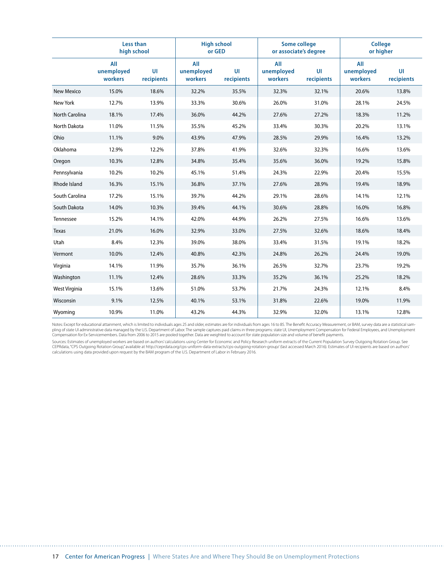|                   | Less than<br>high school     |                  | <b>High school</b><br>or GED |                 |                              | Some college<br>or associate's degree |                              | <b>College</b><br>or higher |  |
|-------------------|------------------------------|------------------|------------------------------|-----------------|------------------------------|---------------------------------------|------------------------------|-----------------------------|--|
|                   | All<br>unemployed<br>workers | UI<br>recipients | All<br>unemployed<br>workers | U<br>recipients | All<br>unemployed<br>workers | UI<br>recipients                      | All<br>unemployed<br>workers | UI<br>recipients            |  |
| <b>New Mexico</b> | 15.0%                        | 18.6%            | 32.2%                        | 35.5%           | 32.3%                        | 32.1%                                 | 20.6%                        | 13.8%                       |  |
| New York          | 12.7%                        | 13.9%            | 33.3%                        | 30.6%           | 26.0%                        | 31.0%                                 | 28.1%                        | 24.5%                       |  |
| North Carolina    | 18.1%                        | 17.4%            | 36.0%                        | 44.2%           | 27.6%                        | 27.2%                                 | 18.3%                        | 11.2%                       |  |
| North Dakota      | 11.0%                        | 11.5%            | 35.5%                        | 45.2%           | 33.4%                        | 30.3%                                 | 20.2%                        | 13.1%                       |  |
| Ohio              | 11.1%                        | 9.0%             | 43.9%                        | 47.9%           | 28.5%                        | 29.9%                                 | 16.4%                        | 13.2%                       |  |
| Oklahoma          | 12.9%                        | 12.2%            | 37.8%                        | 41.9%           | 32.6%                        | 32.3%                                 | 16.6%                        | 13.6%                       |  |
| Oregon            | 10.3%                        | 12.8%            | 34.8%                        | 35.4%           | 35.6%                        | 36.0%                                 | 19.2%                        | 15.8%                       |  |
| Pennsylvania      | 10.2%                        | 10.2%            | 45.1%                        | 51.4%           | 24.3%                        | 22.9%                                 | 20.4%                        | 15.5%                       |  |
| Rhode Island      | 16.3%                        | 15.1%            | 36.8%                        | 37.1%           | 27.6%                        | 28.9%                                 | 19.4%                        | 18.9%                       |  |
| South Carolina    | 17.2%                        | 15.1%            | 39.7%                        | 44.2%           | 29.1%                        | 28.6%                                 | 14.1%                        | 12.1%                       |  |
| South Dakota      | 14.0%                        | 10.3%            | 39.4%                        | 44.1%           | 30.6%                        | 28.8%                                 | 16.0%                        | 16.8%                       |  |
| Tennessee         | 15.2%                        | 14.1%            | 42.0%                        | 44.9%           | 26.2%                        | 27.5%                                 | 16.6%                        | 13.6%                       |  |
| <b>Texas</b>      | 21.0%                        | 16.0%            | 32.9%                        | 33.0%           | 27.5%                        | 32.6%                                 | 18.6%                        | 18.4%                       |  |
| Utah              | 8.4%                         | 12.3%            | 39.0%                        | 38.0%           | 33.4%                        | 31.5%                                 | 19.1%                        | 18.2%                       |  |
| Vermont           | 10.0%                        | 12.4%            | 40.8%                        | 42.3%           | 24.8%                        | 26.2%                                 | 24.4%                        | 19.0%                       |  |
| Virginia          | 14.1%                        | 11.9%            | 35.7%                        | 36.1%           | 26.5%                        | 32.7%                                 | 23.7%                        | 19.2%                       |  |
| Washington        | 11.1%                        | 12.4%            | 28.6%                        | 33.3%           | 35.2%                        | 36.1%                                 | 25.2%                        | 18.2%                       |  |
| West Virginia     | 15.1%                        | 13.6%            | 51.0%                        | 53.7%           | 21.7%                        | 24.3%                                 | 12.1%                        | 8.4%                        |  |
| Wisconsin         | 9.1%                         | 12.5%            | 40.1%                        | 53.1%           | 31.8%                        | 22.6%                                 | 19.0%                        | 11.9%                       |  |
| Wyoming           | 10.9%                        | 11.0%            | 43.2%                        | 44.3%           | 32.9%                        | 32.0%                                 | 13.1%                        | 12.8%                       |  |

Notes: Except for educational attainment, which is limited to individuals ages 25 and older, estimates are for individuals from ages 16 to 85. The Benefit Accuracy Measurement, or BAM, survey data are a statistical sam-<br>pl Compensation for Ex-Servicemembers. Data from 2006 to 2015 are pooled together. Data are weighted to account for state population size and volume of benefit payments.

Sources: Estimates of unemployed workers are based on authors' calculations using Center for Economic and Policy Research uniform extracts of the Current Population Survey Outgoing Rotation Group. See CEPRdata,"CPS Outgoing Rotation Group,"available at http://ceprdata.org/cps-uniform-data-extracts/cps-outgoing-rotation-group/ (last accessed March 2016). Estimates of UI recipients are based on authors'<br>calculations using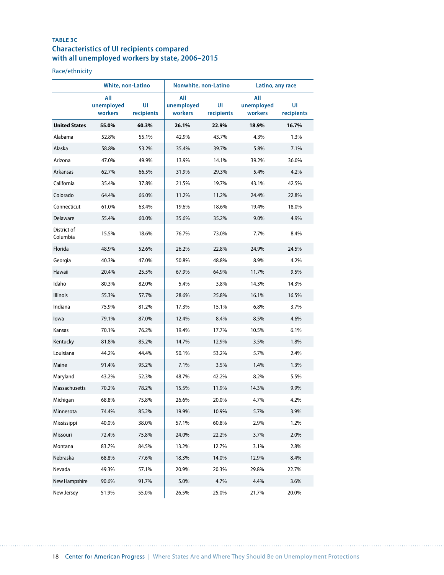### **TABLE 3C Characteristics of UI recipients compared with all unemployed workers by state, 2006–2015**

Race/ethnicity

|                         | White, non-Latino            |                  | Nonwhite, non-Latino         |                  | Latino, any race             |                  |  |
|-------------------------|------------------------------|------------------|------------------------------|------------------|------------------------------|------------------|--|
|                         | All<br>unemployed<br>workers | UI<br>recipients | All<br>unemployed<br>workers | UI<br>recipients | All<br>unemployed<br>workers | UI<br>recipients |  |
| <b>United States</b>    | 55.0%                        | 60.3%            | 26.1%                        | 22.9%            | 18.9%                        | 16.7%            |  |
| Alabama                 | 52.8%                        | 55.1%            | 42.9%                        | 43.7%            | 4.3%                         | 1.3%             |  |
| Alaska                  | 58.8%                        | 53.2%            | 35.4%                        | 39.7%            | 5.8%                         | 7.1%             |  |
| Arizona                 | 47.0%                        | 49.9%            | 13.9%                        | 14.1%            | 39.2%                        | 36.0%            |  |
| Arkansas                | 62.7%                        | 66.5%            | 31.9%                        | 29.3%            | 5.4%                         | 4.2%             |  |
| California              | 35.4%                        | 37.8%            | 21.5%                        | 19.7%            | 43.1%                        | 42.5%            |  |
| Colorado                | 64.4%                        | 66.0%            | 11.2%                        | 11.2%            | 24.4%                        | 22.8%            |  |
| Connecticut             | 61.0%                        | 63.4%            | 19.6%                        | 18.6%            | 19.4%                        | 18.0%            |  |
| Delaware                | 55.4%                        | 60.0%            | 35.6%                        | 35.2%            | 9.0%                         | 4.9%             |  |
| District of<br>Columbia | 15.5%                        | 18.6%            | 76.7%                        | 73.0%            | 7.7%                         | 8.4%             |  |
| Florida                 | 48.9%                        | 52.6%            | 26.2%                        | 22.8%            | 24.9%                        | 24.5%            |  |
| Georgia                 | 40.3%                        | 47.0%            | 50.8%                        | 48.8%            | 8.9%                         | 4.2%             |  |
| Hawaii                  | 20.4%                        | 25.5%            | 67.9%                        | 64.9%            | 11.7%                        | 9.5%             |  |
| Idaho                   | 80.3%                        | 82.0%            | 5.4%                         | 3.8%             | 14.3%                        | 14.3%            |  |
| Illinois                | 55.3%                        | 57.7%            | 28.6%                        | 25.8%            | 16.1%                        | 16.5%            |  |
| Indiana                 | 75.9%                        | 81.2%            | 17.3%                        | 15.1%            | 6.8%                         | 3.7%             |  |
| lowa                    | 79.1%                        | 87.0%            | 12.4%                        | 8.4%             | 8.5%                         | 4.6%             |  |
| Kansas                  | 70.1%                        | 76.2%            | 19.4%                        | 17.7%            | 10.5%                        | 6.1%             |  |
| Kentucky                | 81.8%                        | 85.2%            | 14.7%                        | 12.9%            | 3.5%                         | 1.8%             |  |
| Louisiana               | 44.2%                        | 44.4%            | 50.1%                        | 53.2%            | 5.7%                         | 2.4%             |  |
| Maine                   | 91.4%                        | 95.2%            | 7.1%                         | 3.5%             | 1.4%                         | 1.3%             |  |
| Maryland                | 43.2%                        | 52.3%            | 48.7%                        | 42.2%            | 8.2%                         | 5.5%             |  |
| Massachusetts           | 70.2%                        | 78.2%            | 15.5%                        | 11.9%            | 14.3%                        | 9.9%             |  |
| Michigan                | 68.8%                        | 75.8%            | 26.6%                        | 20.0%            | 4.7%                         | 4.2%             |  |
| Minnesota               | 74.4%                        | 85.2%            | 19.9%                        | 10.9%            | 5.7%                         | 3.9%             |  |
| Mississippi             | 40.0%                        | 38.0%            | 57.1%                        | 60.8%            | 2.9%                         | 1.2%             |  |
| Missouri                | 72.4%                        | 75.8%            | 24.0%                        | 22.2%            | 3.7%                         | 2.0%             |  |
| Montana                 | 83.7%                        | 84.5%            | 13.2%                        | 12.7%            | 3.1%                         | 2.8%             |  |
| Nebraska                | 68.8%                        | 77.6%            | 18.3%                        | 14.0%            | 12.9%                        | 8.4%             |  |
| Nevada                  | 49.3%                        | 57.1%            | 20.9%                        | 20.3%            | 29.8%                        | 22.7%            |  |
| New Hampshire           | 90.6%                        | 91.7%            | 5.0%                         | 4.7%             | 4.4%                         | 3.6%             |  |
| New Jersey              | 51.9%                        | 55.0%            | 26.5%                        | 25.0%            | 21.7%                        | 20.0%            |  |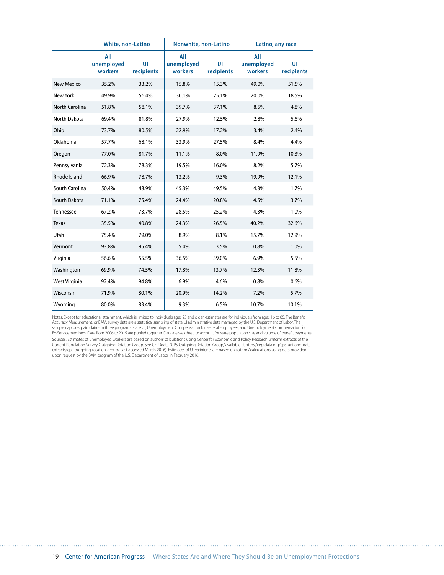|                       | <b>White, non-Latino</b>     |                  | Nonwhite, non-Latino         |                  | Latino, any race             |                  |  |
|-----------------------|------------------------------|------------------|------------------------------|------------------|------------------------------|------------------|--|
|                       | All<br>unemployed<br>workers | UI<br>recipients | All<br>unemployed<br>workers | UI<br>recipients | All<br>unemployed<br>workers | UI<br>recipients |  |
| <b>New Mexico</b>     | 35.2%                        | 33.2%            | 15.8%                        | 15.3%            | 49.0%                        | 51.5%            |  |
| <b>New York</b>       | 49.9%                        | 56.4%            | 30.1%                        | 25.1%            | 20.0%                        | 18.5%            |  |
| <b>North Carolina</b> | 51.8%                        | 58.1%            | 39.7%                        | 37.1%            | 8.5%                         | 4.8%             |  |
| <b>North Dakota</b>   | 69.4%                        | 81.8%            | 27.9%                        | 12.5%            | 2.8%                         | 5.6%             |  |
| Ohio                  | 73.7%                        | 80.5%            | 22.9%                        | 17.2%            | 3.4%                         | 2.4%             |  |
| Oklahoma              | 57.7%                        | 68.1%            | 33.9%                        | 27.5%            | 8.4%                         | 4.4%             |  |
| Oregon                | 77.0%                        | 81.7%            | 11.1%                        | 8.0%             | 11.9%                        | 10.3%            |  |
| Pennsylvania          | 72.3%                        | 78.3%            | 19.5%                        | 16.0%            | 8.2%                         | 5.7%             |  |
| Rhode Island          | 66.9%                        | 78.7%            | 13.2%                        | 9.3%             | 19.9%                        | 12.1%            |  |
| South Carolina        | 50.4%                        | 48.9%            | 45.3%                        | 49.5%            | 4.3%                         | 1.7%             |  |
| South Dakota          | 71.1%                        | 75.4%            | 24.4%                        | 20.8%            | 4.5%                         | 3.7%             |  |
| Tennessee             | 67.2%                        | 73.7%            | 28.5%                        | 25.2%            | 4.3%                         | 1.0%             |  |
| <b>Texas</b>          | 35.5%                        | 40.8%            | 24.3%                        | 26.5%            | 40.2%                        | 32.6%            |  |
| Utah                  | 75.4%                        | 79.0%            | 8.9%                         | 8.1%             | 15.7%                        | 12.9%            |  |
| Vermont               | 93.8%                        | 95.4%            | 5.4%                         | 3.5%             | 0.8%                         | 1.0%             |  |
| Virginia              | 56.6%                        | 55.5%            | 36.5%                        | 39.0%            | 6.9%                         | 5.5%             |  |
| Washington            | 69.9%                        | 74.5%            | 17.8%                        | 13.7%            | 12.3%                        | 11.8%            |  |
| West Virginia         | 92.4%                        | 94.8%            | 6.9%                         | 4.6%             | 0.8%                         | 0.6%             |  |
| Wisconsin             | 71.9%                        | 80.1%            | 20.9%                        | 14.2%            | 7.2%                         | 5.7%             |  |
| Wyoming               | 80.0%                        | 83.4%            | 9.3%                         | 6.5%             | 10.7%                        | 10.1%            |  |

Notes: Except for educational attainment, which is limited to individuals ages 25 and older, estimates are for individuals from ages 16 to 85. The Benefit<br>Accuracy Measurement, or BAM, survey data are a statistical samplin Ex-Servicemembers. Data from 2006 to 2015 are pooled together. Data are weighted to account for state population size and volume of benefit payments. Sources: Estimates of unemployed workers are based on authors' calculations using Center for Economic and Policy Research uniform extracts of the Current Population Survey Outgoing Rotation Group. See CEPRdata, "CPS Outgoing Rotation Group," available at http://ceprdata.org/cps-uniform-data-<br>extracts/cps-outgoing-rotation-group/ (last accessed March 2016). Estimates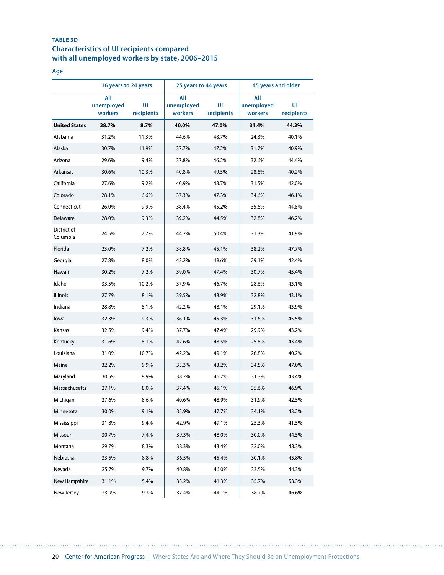# **TABLE 3D Characteristics of UI recipients compared with all unemployed workers by state, 2006–2015**

#### Age

|                         | 16 years to 24 years         |                  | 25 years to 44 years         |                  | 45 years and older           |                  |  |
|-------------------------|------------------------------|------------------|------------------------------|------------------|------------------------------|------------------|--|
|                         | All<br>unemployed<br>workers | UI<br>recipients | All<br>unemployed<br>workers | UI<br>recipients | All<br>unemployed<br>workers | UI<br>recipients |  |
| <b>United States</b>    | 28.7%                        | 8.7%             | 40.0%                        | 47.0%            | 31.4%                        | 44.2%            |  |
| Alabama                 | 31.2%                        | 11.3%            | 44.6%                        | 48.7%            | 24.3%                        | 40.1%            |  |
| Alaska                  | 30.7%                        | 11.9%            | 37.7%                        | 47.2%            | 31.7%                        | 40.9%            |  |
| Arizona                 | 29.6%                        | 9.4%             | 37.8%                        | 46.2%            | 32.6%                        | 44.4%            |  |
| Arkansas                | 30.6%                        | 10.3%            | 40.8%                        | 49.5%            | 28.6%                        | 40.2%            |  |
| California              | 27.6%                        | 9.2%             | 40.9%                        | 48.7%            | 31.5%                        | 42.0%            |  |
| Colorado                | 28.1%                        | 6.6%             | 37.3%                        | 47.3%            | 34.6%                        | 46.1%            |  |
| Connecticut             | 26.0%                        | 9.9%             | 38.4%                        | 45.2%            | 35.6%                        | 44.8%            |  |
| Delaware                | 28.0%                        | 9.3%             | 39.2%                        | 44.5%            | 32.8%                        | 46.2%            |  |
| District of<br>Columbia | 24.5%                        | 7.7%             | 44.2%                        | 50.4%            | 31.3%                        | 41.9%            |  |
| Florida                 | 23.0%                        | 7.2%             | 38.8%                        | 45.1%            | 38.2%                        | 47.7%            |  |
| Georgia                 | 27.8%                        | 8.0%             | 43.2%                        | 49.6%            | 29.1%                        | 42.4%            |  |
| Hawaii                  | 30.2%                        | 7.2%             | 39.0%                        | 47.4%            | 30.7%                        | 45.4%            |  |
| Idaho                   | 33.5%                        | 10.2%            | 37.9%                        | 46.7%            | 28.6%                        | 43.1%            |  |
| <b>Illinois</b>         | 27.7%                        | 8.1%             | 39.5%                        | 48.9%            | 32.8%                        | 43.1%            |  |
| Indiana                 | 28.8%                        | 8.1%             | 42.2%                        | 48.1%            | 29.1%                        | 43.9%            |  |
| lowa                    | 32.3%                        | 9.3%             | 36.1%                        | 45.3%            | 31.6%                        | 45.5%            |  |
| Kansas                  | 32.5%                        | 9.4%             | 37.7%                        | 47.4%            | 29.9%                        | 43.2%            |  |
| Kentucky                | 31.6%                        | 8.1%             | 42.6%                        | 48.5%            | 25.8%                        | 43.4%            |  |
| Louisiana               | 31.0%                        | 10.7%            | 42.2%                        | 49.1%            | 26.8%                        | 40.2%            |  |
| Maine                   | 32.2%                        | 9.9%             | 33.3%                        | 43.2%            | 34.5%                        | 47.0%            |  |
| Maryland                | 30.5%                        | 9.9%             | 38.2%                        | 46.7%            | 31.3%                        | 43.4%            |  |
| Massachusetts           | 27.1%                        | 8.0%             | 37.4%                        | 45.1%            | 35.6%                        | 46.9%            |  |
| Michigan                | 27.6%                        | 8.6%             | 40.6%                        | 48.9%            | 31.9%                        | 42.5%            |  |
| Minnesota               | 30.0%                        | 9.1%             | 35.9%                        | 47.7%            | 34.1%                        | 43.2%            |  |
| Mississippi             | 31.8%                        | 9.4%             | 42.9%                        | 49.1%            | 25.3%                        | 41.5%            |  |
| Missouri                | 30.7%                        | 7.4%             | 39.3%                        | 48.0%            | 30.0%                        | 44.5%            |  |
| Montana                 | 29.7%                        | 8.3%             | 38.3%                        | 43.4%            | 32.0%                        | 48.3%            |  |
| Nebraska                | 33.5%                        | 8.8%             | 36.5%                        | 45.4%            | 30.1%                        | 45.8%            |  |
| Nevada                  | 25.7%                        | 9.7%             | 40.8%                        | 46.0%            | 33.5%                        | 44.3%            |  |
| New Hampshire           | 31.1%                        | 5.4%             | 33.2%                        | 41.3%            | 35.7%                        | 53.3%            |  |
| New Jersey              | 23.9%                        | 9.3%             | 37.4%                        | 44.1%            | 38.7%                        | 46.6%            |  |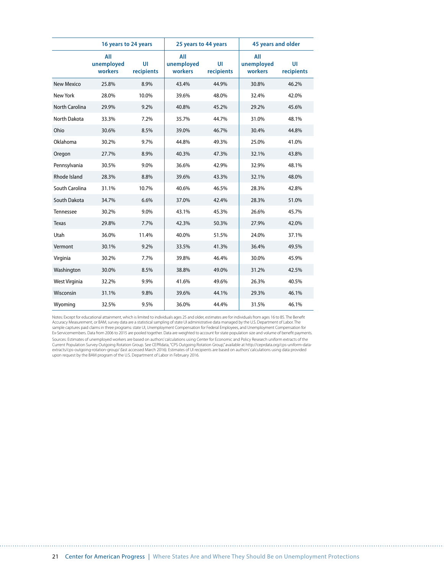|                       | 16 years to 24 years         |                  | 25 years to 44 years         |                  | 45 years and older           |                  |  |
|-----------------------|------------------------------|------------------|------------------------------|------------------|------------------------------|------------------|--|
|                       | All<br>unemployed<br>workers | UI<br>recipients | All<br>unemployed<br>workers | UI<br>recipients | All<br>unemployed<br>workers | UI<br>recipients |  |
| <b>New Mexico</b>     | 25.8%                        | 8.9%             | 43.4%                        | 44.9%            | 30.8%                        | 46.2%            |  |
| <b>New York</b>       | 28.0%                        | 10.0%            | 39.6%                        | 48.0%            | 32.4%                        | 42.0%            |  |
| <b>North Carolina</b> | 29.9%                        | 9.2%             | 40.8%                        | 45.2%            | 29.2%                        | 45.6%            |  |
| <b>North Dakota</b>   | 33.3%                        | 7.2%             | 35.7%                        | 44.7%            | 31.0%                        | 48.1%            |  |
| Ohio                  | 30.6%                        | 8.5%             | 39.0%                        | 46.7%            | 30.4%                        | 44.8%            |  |
| Oklahoma              | 30.2%                        | 9.7%             | 44.8%                        | 49.3%            | 25.0%                        | 41.0%            |  |
| Oregon                | 27.7%                        | 8.9%             | 40.3%                        | 47.3%            | 32.1%                        | 43.8%            |  |
| Pennsylvania          | 30.5%                        | 9.0%             | 36.6%                        | 42.9%            | 32.9%                        | 48.1%            |  |
| Rhode Island          | 28.3%                        | 8.8%             | 39.6%                        | 43.3%            | 32.1%                        | 48.0%            |  |
| South Carolina        | 31.1%                        | 10.7%            | 40.6%                        | 46.5%            | 28.3%                        | 42.8%            |  |
| South Dakota          | 34.7%                        | 6.6%             | 37.0%                        | 42.4%            | 28.3%                        | 51.0%            |  |
| Tennessee             | 30.2%                        | 9.0%             | 43.1%                        | 45.3%            | 26.6%                        | 45.7%            |  |
| Texas                 | 29.8%                        | 7.7%             | 42.3%                        | 50.3%            | 27.9%                        | 42.0%            |  |
| Utah                  | 36.0%                        | 11.4%            | 40.0%                        | 51.5%            | 24.0%                        | 37.1%            |  |
| Vermont               | 30.1%                        | 9.2%             | 33.5%                        | 41.3%            | 36.4%                        | 49.5%            |  |
| Virginia              | 30.2%                        | 7.7%             | 39.8%                        | 46.4%            | 30.0%                        | 45.9%            |  |
| Washington            | 30.0%                        | 8.5%             | 38.8%                        | 49.0%            | 31.2%                        | 42.5%            |  |
| West Virginia         | 32.2%                        | 9.9%             | 41.6%                        | 49.6%            | 26.3%                        | 40.5%            |  |
| Wisconsin             | 31.1%                        | 9.8%             | 39.6%                        | 44.1%            | 29.3%                        | 46.1%            |  |
| Wyoming               | 32.5%                        | 9.5%             | 36.0%                        | 44.4%            | 31.5%                        | 46.1%            |  |

Notes: Except for educational attainment, which is limited to individuals ages 25 and older, estimates are for individuals from ages 16 to 85. The Benefit<br>Accuracy Measurement, or BAM, survey data are a statistical samplin Ex-Servicemembers. Data from 2006 to 2015 are pooled together. Data are weighted to account for state population size and volume of benefit payments. Sources: Estimates of unemployed workers are based on authors' calculations using Center for Economic and Policy Research uniform extracts of the Current Population Survey Outgoing Rotation Group. See CEPRdata, "CPS Outgoing Rotation Group," available at http://ceprdata.org/cps-uniform-data-<br>extracts/cps-outgoing-rotation-group/ (last accessed March 2016). Estimates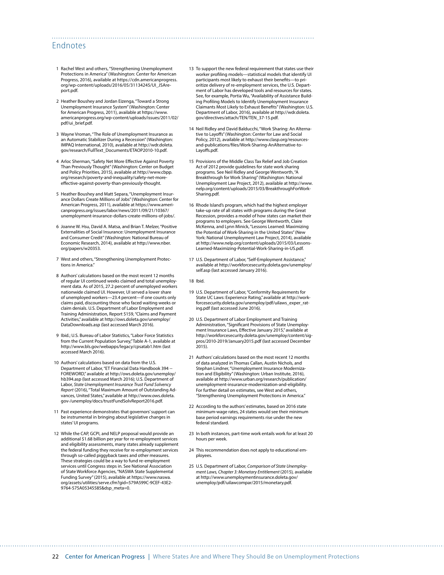# Endnotes

- 1 Rachel West and others, "Strengthening Unemployment Protections in America" (Washington: Center for American Progress, 2016), available at [https://cdn.americanprogress.](https://cdn.americanprogress.org/wp-content/uploads/2016/05/31134245/UI_JSAreport.pdf) [org/wp-content/uploads/2016/05/31134245/UI\\_JSAre](https://cdn.americanprogress.org/wp-content/uploads/2016/05/31134245/UI_JSAreport.pdf)[port.pdf.](https://cdn.americanprogress.org/wp-content/uploads/2016/05/31134245/UI_JSAreport.pdf)
- 2 Heather Boushey and Jordan Eizenga, "Toward a Strong Unemployment Insurance System" (Washington: Center for American Progress, 2011), available at [https://www.](https://www.americanprogress.org/wp-content/uploads/issues/2011/02/pdf/ui_brief.pdf) [americanprogress.org/wp-content/uploads/issues/2011/02/](https://www.americanprogress.org/wp-content/uploads/issues/2011/02/pdf/ui_brief.pdf) [pdf/ui\\_brief.pdf.](https://www.americanprogress.org/wp-content/uploads/issues/2011/02/pdf/ui_brief.pdf)
- 3 Wayne Vroman, "The Role of Unemployment Insurance as an Automatic Stabilizer During a Recession" (Washington: IMPAQ International, 2010), available at [http://wdr.doleta.](http://wdr.doleta.gov/research/FullText_Documents/ETAOP2010-10.pdf) [gov/research/FullText\\_Documents/ETAOP2010-10.pdf.](http://wdr.doleta.gov/research/FullText_Documents/ETAOP2010-10.pdf)
- 4 Arloc Sherman, "Safety Net More Effective Against Poverty Than Previously Thought" (Washington: Center on Budget and Policy Priorities, 2015), available at [http://www.cbpp.](http://www.cbpp.org/research/poverty-and-inequality/safety-net-more-effective-against-poverty-than-previously-thought) [org/research/poverty-and-inequality/safety-net-more](http://www.cbpp.org/research/poverty-and-inequality/safety-net-more-effective-against-poverty-than-previously-thought)[effective-against-poverty-than-previously-thought.](http://www.cbpp.org/research/poverty-and-inequality/safety-net-more-effective-against-poverty-than-previously-thought)
- 5 Heather Boushey and Matt Separa, "Unemployment Insurance Dollars Create Millions of Jobs" (Washington: Center for American Progress, 2011), available at [https://www.ameri](https://www.americanprogress.org/issues/labor/news/2011/09/21/10367/unemployment-insurance-dollars-create-millions-of-jobs/)[canprogress.org/issues/labor/news/2011/09/21/10367/](https://www.americanprogress.org/issues/labor/news/2011/09/21/10367/unemployment-insurance-dollars-create-millions-of-jobs/) [unemployment-insurance-dollars-create-millions-of-jobs/](https://www.americanprogress.org/issues/labor/news/2011/09/21/10367/unemployment-insurance-dollars-create-millions-of-jobs/).
- 6 Joanne W. Hsu, David A. Matsa, and Brian T. Melzer, "Positive Externalities of Social Insurance: Unemployment Insurance and Consumer Credit" (Washington: National Bureau of Economic Research, 2014), available at [http://www.nber.](http://www.nber.org/papers/w20353) [org/papers/w20353.](http://www.nber.org/papers/w20353)
- 7 West and others, "Strengthening Unemployment Protections in America."
- 8 Authors' calculations based on the most recent 12 months of regular UI continued weeks claimed and total unemployment data. As of 2015, 27.2 percent of unemployed workers nationwide claimed UI. However, UI served a lower share of unemployed workers—23.4 percent—if one counts only claims paid, discounting those who faced waiting weeks or claim denials. U.S. Department of Labor Employment and Training Administration, Report 5159, "Claims and Payment Activities," available at [http://ows.doleta.gov/unemploy/](http://ows.doleta.gov/unemploy/DataDownloads.asp) [DataDownloads.asp](http://ows.doleta.gov/unemploy/DataDownloads.asp) (last accessed March 2016).
- 9 Ibid.; U.S. Bureau of Labor Statistics, "Labor Force Statistics from the Current Population Survey," Table A-1, available at <http://www.bls.gov/webapps/legacy/cpsatab1.htm>(last accessed March 2016).
- 10 Authors' calculations based on data from the U.S. Department of Labor, "ET Financial Data Handbook 394 -- FOREWORD," available at [http://ows.doleta.gov/unemploy/](http://ows.doleta.gov/unemploy/hb394.asp) [hb394.asp](http://ows.doleta.gov/unemploy/hb394.asp) (last accessed March 2016); U.S. Department of Labor, *State Unemployment Insurance Trust Fund Solvency Report* (2016), "Total Maximum Amount of Outstanding Advances, United States," available at [http://www.ows.doleta.](http://www.ows.doleta.gov-/unemploy/docs/trustFundSolvReport2016.pdf) [gov-/unemploy/docs/trustFundSolvReport2016.pdf](http://www.ows.doleta.gov-/unemploy/docs/trustFundSolvReport2016.pdf).
- 11 Past experience demonstrates that governors' support can be instrumental in bringing about legislative changes in states' UI programs.
- 12 While the CAP, GCPI, and NELP proposal would provide an additional \$1.68 billion per year for re-employment services and eligibility assessments, many states already supplement the federal funding they receive for re-employment services through so-called piggyback taxes and other measures. These strategies could be a way to fund re-employment services until Congress steps in. See National Association of State Workforce Agencies, "NASWA State Supplemental Funding Survey" (2015), available at [https://www.naswa.](https://www.naswa.org/assets/utilities/serve.cfm?gid=579A599C-9CEF-43E2-9764-575A05345585&dsp_meta=0) [org/assets/utilities/serve.cfm?gid=579A599C-9CEF-43E2-](https://www.naswa.org/assets/utilities/serve.cfm?gid=579A599C-9CEF-43E2-9764-575A05345585&dsp_meta=0) [9764-575A05345585&dsp\\_meta=0](https://www.naswa.org/assets/utilities/serve.cfm?gid=579A599C-9CEF-43E2-9764-575A05345585&dsp_meta=0).
- 13 To support the new federal requirement that states use their worker profiling models—statistical models that identify UI participants most likely to exhaust their benefits—to prioritize delivery of re-employment services, the U.S. Department of Labor has developed tools and resources for states. See, for example, Portia Wu, "Availability of Assistance Building Profiling Models to Identify Unemployment Insurance Claimants Most Likely to Exhaust Benefits" (Washington: U.S. Department of Labor, 2016), available at [http://wdr.doleta.](http://wdr.doleta.gov/directives/attach/TEN/TEN_37-15.pdf) [gov/directives/attach/TEN/TEN\\_37-15.pdf](http://wdr.doleta.gov/directives/attach/TEN/TEN_37-15.pdf).
- 14 Neil Ridley and David Balducchi, "Work Sharing: An Alternative to Layoffs" (Washington: Center for Law and Social Policy, 2012), available at [http://www.clasp.org/resources](http://www.clasp.org/resources-and-publications/files/Work-Sharing-AnAlternative-to-Layoffs.pdf)[and-publications/files/Work-Sharing-AnAlternative-to-](http://www.clasp.org/resources-and-publications/files/Work-Sharing-AnAlternative-to-Layoffs.pdf)[Layoffs.pdf.](http://www.clasp.org/resources-and-publications/files/Work-Sharing-AnAlternative-to-Layoffs.pdf)
- 15 Provisions of the Middle Class Tax Relief and Job Creation Act of 2012 provide guidelines for state work sharing programs. See Neil Ridley and George Wentworth, "A Breakthrough for Work Sharing" (Washington: National Unemployment Law Project, 2012), available at [http://www.](http://www.nelp.org/content/uploads/2015/03/BreakthroughForWorkSharing.pdf) [nelp.org/content/uploads/2015/03/BreakthroughForWork-](http://www.nelp.org/content/uploads/2015/03/BreakthroughForWorkSharing.pdf)[Sharing.pdf](http://www.nelp.org/content/uploads/2015/03/BreakthroughForWorkSharing.pdf).
- 16 Rhode Island's program, which had the highest employer take-up rate of all states with programs during the Great Recession, provides a model of how states can market their programs to employers. See George Wentworth, Claire McKenna, and Lynn Minick, "Lessons Learned: Maximizing the Potential of Work-Sharing in the United States" (New York: National Unemployment Law Project, 2014), available at [http://www.nelp.org/content/uploads/2015/03/Lessons-](http://www.nelp.org/content/uploads/2015/03/Lessons-Learned-Maximizing-Potential-Work-Sharing-in-US.pdf)[Learned-Maximizing-Potential-Work-Sharing-in-US.pdf.](http://www.nelp.org/content/uploads/2015/03/Lessons-Learned-Maximizing-Potential-Work-Sharing-in-US.pdf)
- 17 U.S. Department of Labor, "Self-Employment Assistance," available at [http://workforcesecurity.doleta.gov/unemploy/](http://workforcesecurity.doleta.gov/unemploy/self.asp) [self.asp](http://workforcesecurity.doleta.gov/unemploy/self.asp) (last accessed January 2016).
- 18 Ibid.

- 19 U.S. Department of Labor, "Conformity Requirements for State UC Laws: Experience Rating," available at [http://work](http://workforcesecurity.doleta.gov/unemploy/pdf/uilaws_exper_rating.pdf)[forcesecurity.doleta.gov/unemploy/pdf/uilaws\\_exper\\_rat](http://workforcesecurity.doleta.gov/unemploy/pdf/uilaws_exper_rating.pdf)[ing.pdf](http://workforcesecurity.doleta.gov/unemploy/pdf/uilaws_exper_rating.pdf) (last accessed June 2016).
- 20 U.S. Department of Labor Employment and Training Administration, "Significant Provisions of State Unemployment Insurance Laws, Effective January 2015," available at [http://workforcesecurity.doleta.gov/unemploy/content/sig](http://workforcesecurity.doleta.gov/unemploy/content/sigpros/2010-2019/January2015.pdf)[pros/2010-2019/January2015.pdf](http://workforcesecurity.doleta.gov/unemploy/content/sigpros/2010-2019/January2015.pdf) (last accessed December 2015).
- 21 Authors' calculations based on the most recent 12 months of data analyzed in Thomas Callan, Austin Nichols, and Stephan Lindner, "Unemployment Insurance Modernization and Eligibility" (Washington: Urban Institute, 2016), available at [http://www.urban.org/research/publication/](http://www.urban.org/research/publication/unemployment-insurance-modernization-and-eligibility) [unemployment-insurance-modernization-and-eligibility](http://www.urban.org/research/publication/unemployment-insurance-modernization-and-eligibility). For further detail on estimates, see West and others, "Strengthening Unemployment Protections in America."
- 22 According to the authors' estimates, based on 2016 state minimum-wage rates, 24 states would see their minimum base period earnings requirements rise under the new federal standard.
- 23 In both instances, part-time work entails work for at least 20 hours per week.
- 24 This recommendation does not apply to educational employees.
- 25 U.S. Department of Labor, *Comparison of State Unemployment Laws, Chapter 3: Monetary Entitlement* (2015)*,* available at [http://www.unemploymentinsurance.doleta.gov/](http://www.unemploymentinsurance.doleta.gov/unemploy/pdf/uilawcompar/2015/monetary.pdf) [unemploy/pdf/uilawcompar/2015/monetary.pdf](http://www.unemploymentinsurance.doleta.gov/unemploy/pdf/uilawcompar/2015/monetary.pdf).